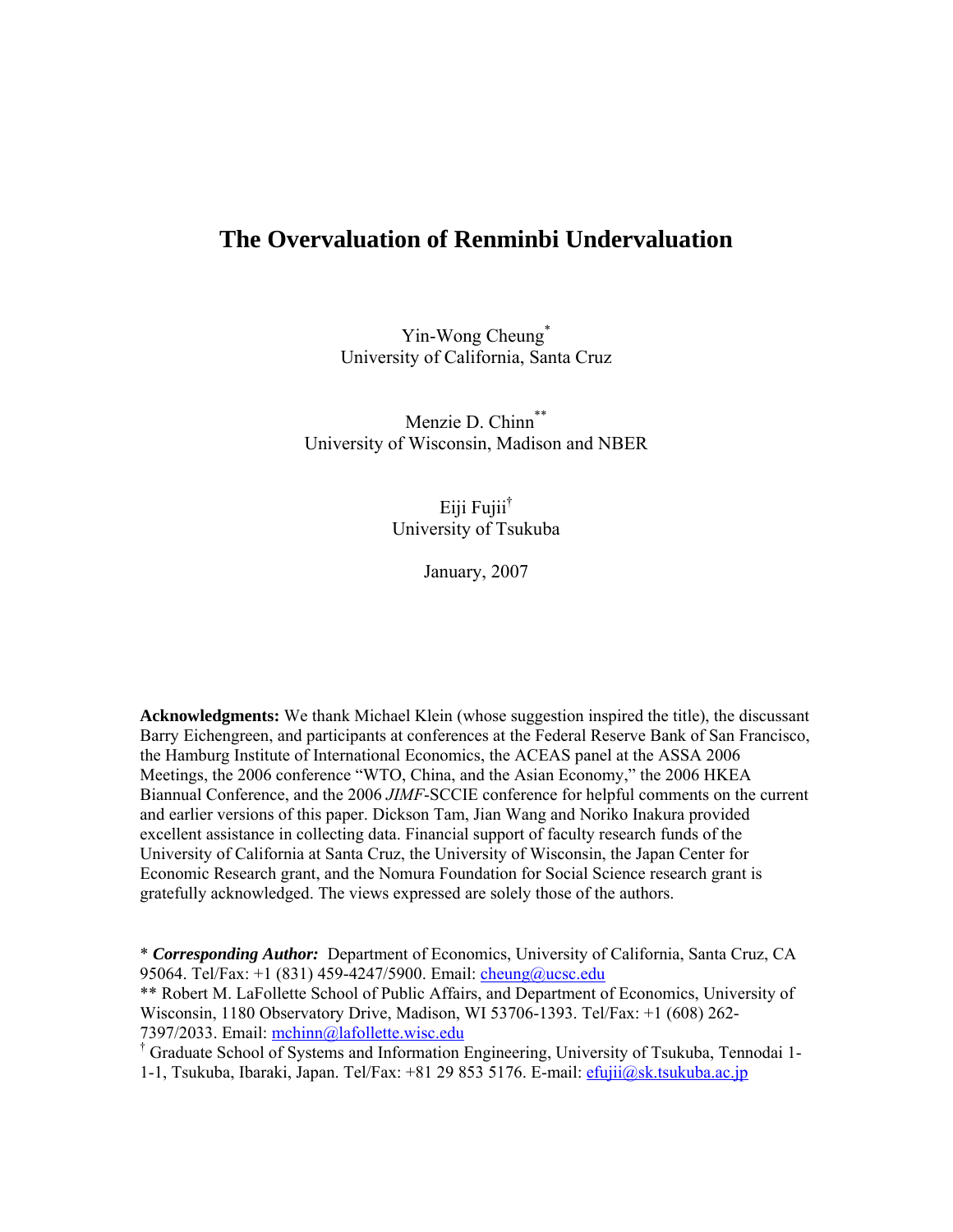# **The Overvaluation of Renminbi Undervaluation**

Yin-Wong Cheung<sup>\*</sup> University of California, Santa Cruz

Menzie D. Chinn<sup>\*\*</sup> University of Wisconsin, Madison and NBER

> Eiji Fujii<sup>†</sup> University of Tsukuba

> > January, 2007

**Acknowledgments:** We thank Michael Klein (whose suggestion inspired the title), the discussant Barry Eichengreen, and participants at conferences at the Federal Reserve Bank of San Francisco, the Hamburg Institute of International Economics, the ACEAS panel at the ASSA 2006 Meetings, the 2006 conference "WTO, China, and the Asian Economy," the 2006 HKEA Biannual Conference, and the 2006 *JIMF*-SCCIE conference for helpful comments on the current and earlier versions of this paper. Dickson Tam, Jian Wang and Noriko Inakura provided excellent assistance in collecting data. Financial support of faculty research funds of the University of California at Santa Cruz, the University of Wisconsin, the Japan Center for Economic Research grant, and the Nomura Foundation for Social Science research grant is gratefully acknowledged. The views expressed are solely those of the authors.

\* *Corresponding Author:* Department of Economics, University of California, Santa Cruz, CA 95064. Tel/Fax: +1 (831) 459-4247/5900. Email: cheung@ucsc.edu \*\* Robert M. LaFollette School of Public Affairs, and Department of Economics, University of Wisconsin, 1180 Observatory Drive, Madison, WI 53706-1393. Tel/Fax: +1 (608) 262- 7397/2033. Email: mchinn@lafollette.wisc.edu

 Graduate School of Systems and Information Engineering, University of Tsukuba, Tennodai 1- 1-1, Tsukuba, Ibaraki, Japan. Tel/Fax: +81 29 853 5176. E-mail: efujii@sk.tsukuba.ac.jp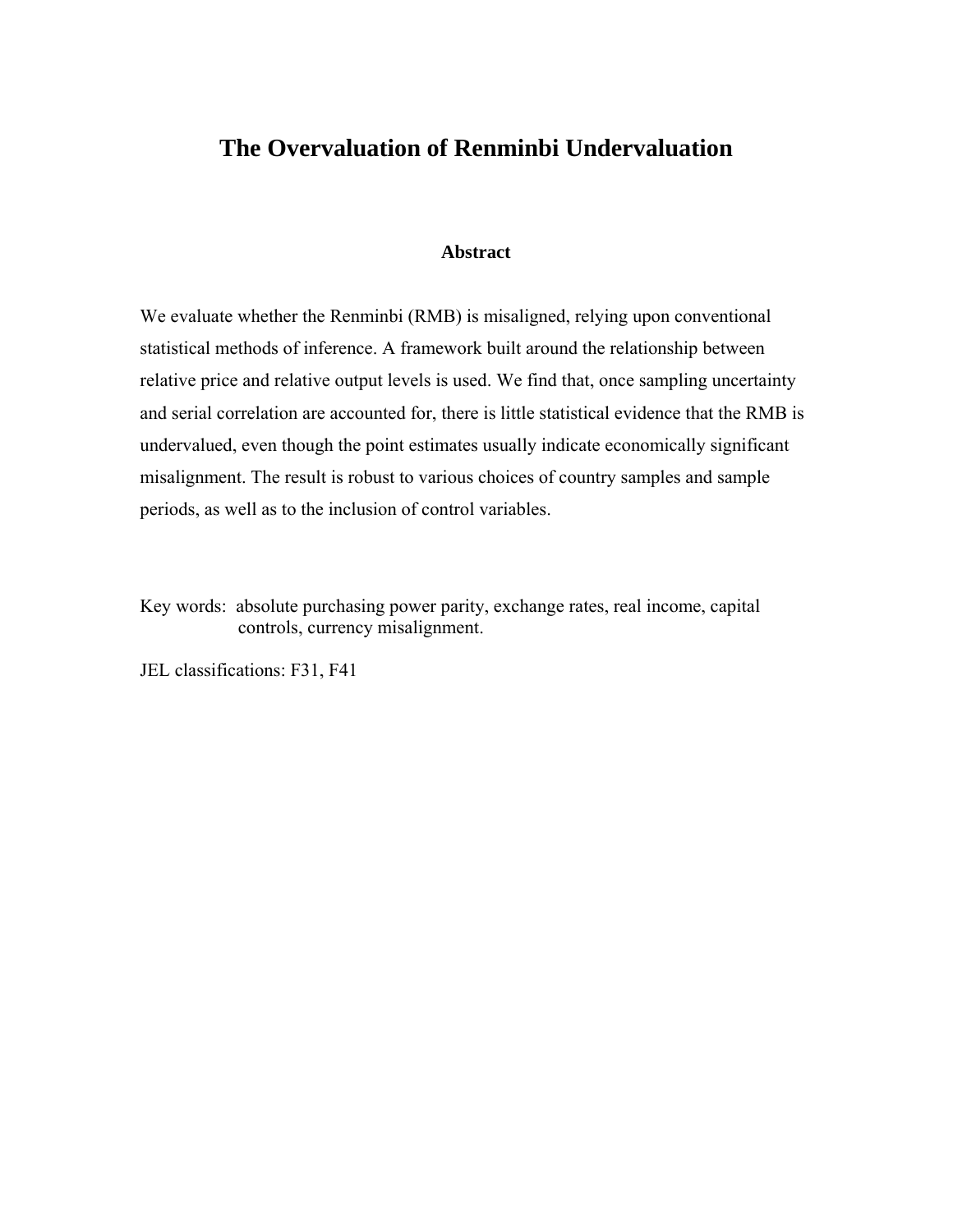# **The Overvaluation of Renminbi Undervaluation**

#### **Abstract**

We evaluate whether the Renminbi (RMB) is misaligned, relying upon conventional statistical methods of inference. A framework built around the relationship between relative price and relative output levels is used. We find that, once sampling uncertainty and serial correlation are accounted for, there is little statistical evidence that the RMB is undervalued, even though the point estimates usually indicate economically significant misalignment. The result is robust to various choices of country samples and sample periods, as well as to the inclusion of control variables.

Key words: absolute purchasing power parity, exchange rates, real income, capital controls, currency misalignment.

JEL classifications: F31, F41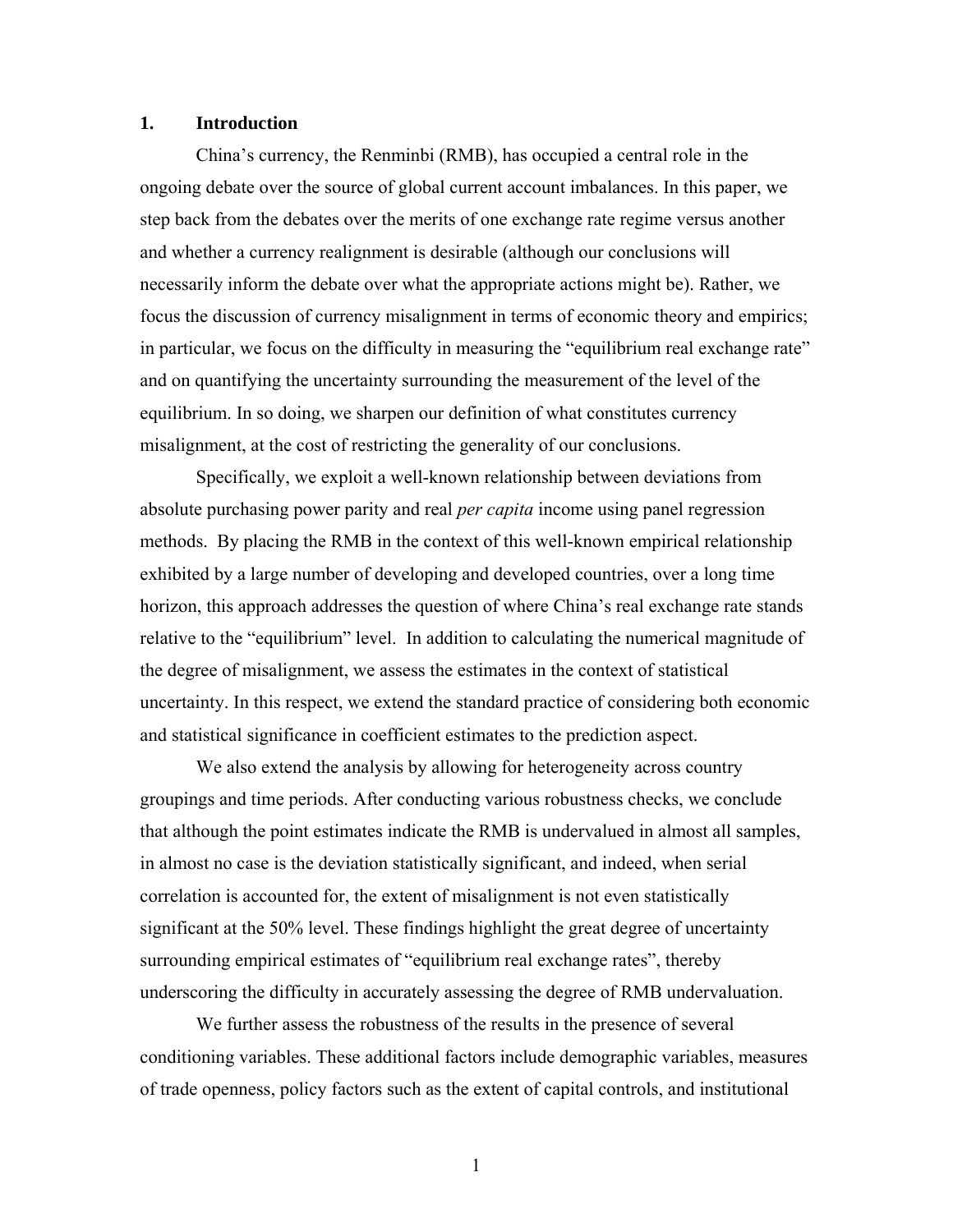### **1. Introduction**

China's currency, the Renminbi (RMB), has occupied a central role in the ongoing debate over the source of global current account imbalances. In this paper, we step back from the debates over the merits of one exchange rate regime versus another and whether a currency realignment is desirable (although our conclusions will necessarily inform the debate over what the appropriate actions might be). Rather, we focus the discussion of currency misalignment in terms of economic theory and empirics; in particular, we focus on the difficulty in measuring the "equilibrium real exchange rate" and on quantifying the uncertainty surrounding the measurement of the level of the equilibrium. In so doing, we sharpen our definition of what constitutes currency misalignment, at the cost of restricting the generality of our conclusions.

Specifically, we exploit a well-known relationship between deviations from absolute purchasing power parity and real *per capita* income using panel regression methods. By placing the RMB in the context of this well-known empirical relationship exhibited by a large number of developing and developed countries, over a long time horizon, this approach addresses the question of where China's real exchange rate stands relative to the "equilibrium" level. In addition to calculating the numerical magnitude of the degree of misalignment, we assess the estimates in the context of statistical uncertainty. In this respect, we extend the standard practice of considering both economic and statistical significance in coefficient estimates to the prediction aspect.

We also extend the analysis by allowing for heterogeneity across country groupings and time periods. After conducting various robustness checks, we conclude that although the point estimates indicate the RMB is undervalued in almost all samples, in almost no case is the deviation statistically significant, and indeed, when serial correlation is accounted for, the extent of misalignment is not even statistically significant at the 50% level. These findings highlight the great degree of uncertainty surrounding empirical estimates of "equilibrium real exchange rates", thereby underscoring the difficulty in accurately assessing the degree of RMB undervaluation.

 We further assess the robustness of the results in the presence of several conditioning variables. These additional factors include demographic variables, measures of trade openness, policy factors such as the extent of capital controls, and institutional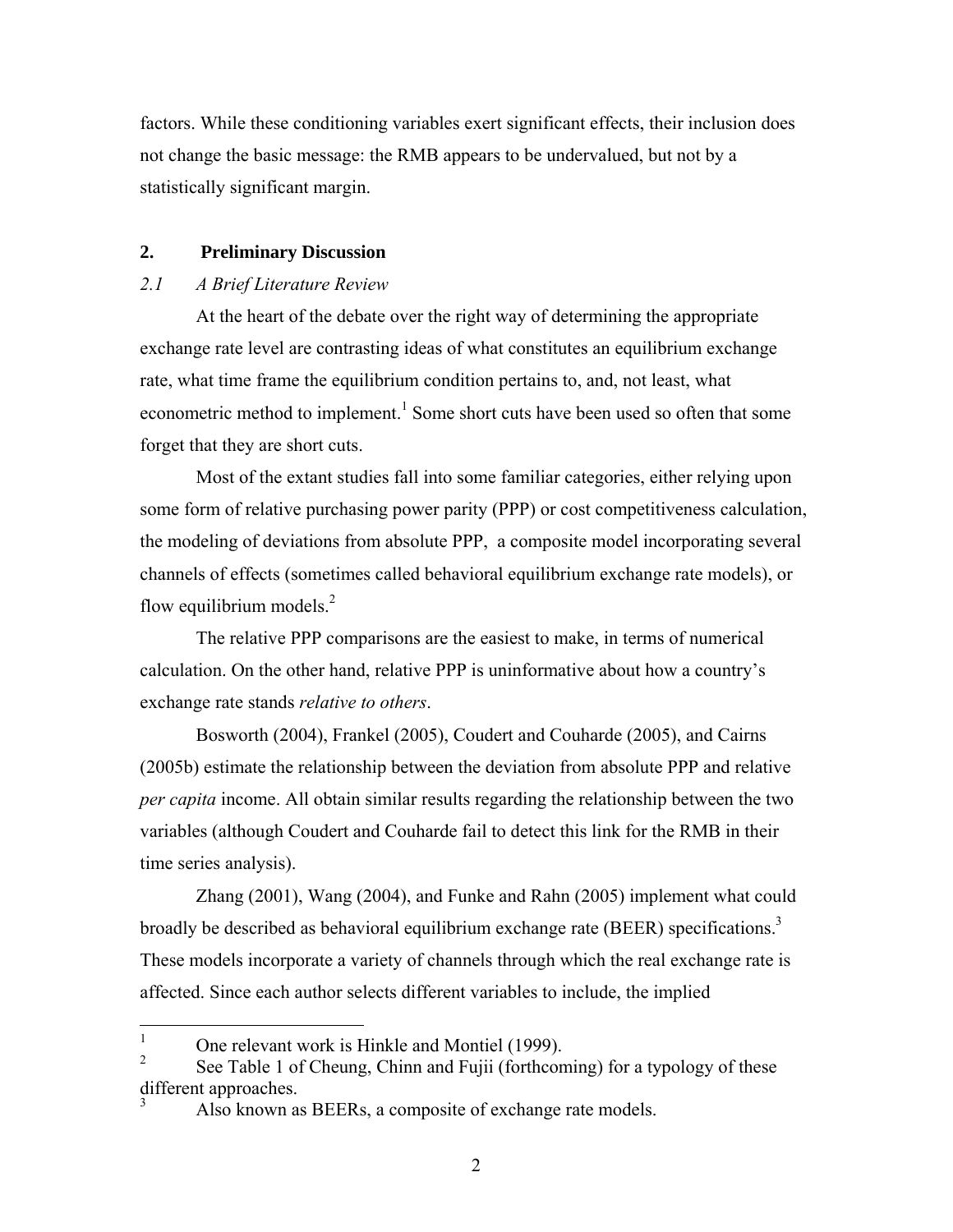factors. While these conditioning variables exert significant effects, their inclusion does not change the basic message: the RMB appears to be undervalued, but not by a statistically significant margin.

# **2. Preliminary Discussion**

# *2.1 A Brief Literature Review*

At the heart of the debate over the right way of determining the appropriate exchange rate level are contrasting ideas of what constitutes an equilibrium exchange rate, what time frame the equilibrium condition pertains to, and, not least, what econometric method to implement.<sup>1</sup> Some short cuts have been used so often that some forget that they are short cuts.

Most of the extant studies fall into some familiar categories, either relying upon some form of relative purchasing power parity (PPP) or cost competitiveness calculation, the modeling of deviations from absolute PPP, a composite model incorporating several channels of effects (sometimes called behavioral equilibrium exchange rate models), or flow equilibrium models. $^{2}$ 

The relative PPP comparisons are the easiest to make, in terms of numerical calculation. On the other hand, relative PPP is uninformative about how a country's exchange rate stands *relative to others*.

Bosworth (2004), Frankel (2005), Coudert and Couharde (2005), and Cairns (2005b) estimate the relationship between the deviation from absolute PPP and relative *per capita* income. All obtain similar results regarding the relationship between the two variables (although Coudert and Couharde fail to detect this link for the RMB in their time series analysis).

Zhang (2001), Wang (2004), and Funke and Rahn (2005) implement what could broadly be described as behavioral equilibrium exchange rate (BEER) specifications.<sup>3</sup> These models incorporate a variety of channels through which the real exchange rate is affected. Since each author selects different variables to include, the implied

 $\frac{1}{1}$ One relevant work is Hinkle and Montiel (1999).

<sup>2</sup> See Table 1 of Cheung, Chinn and Fujii (forthcoming) for a typology of these different approaches. 3

Also known as BEERs, a composite of exchange rate models.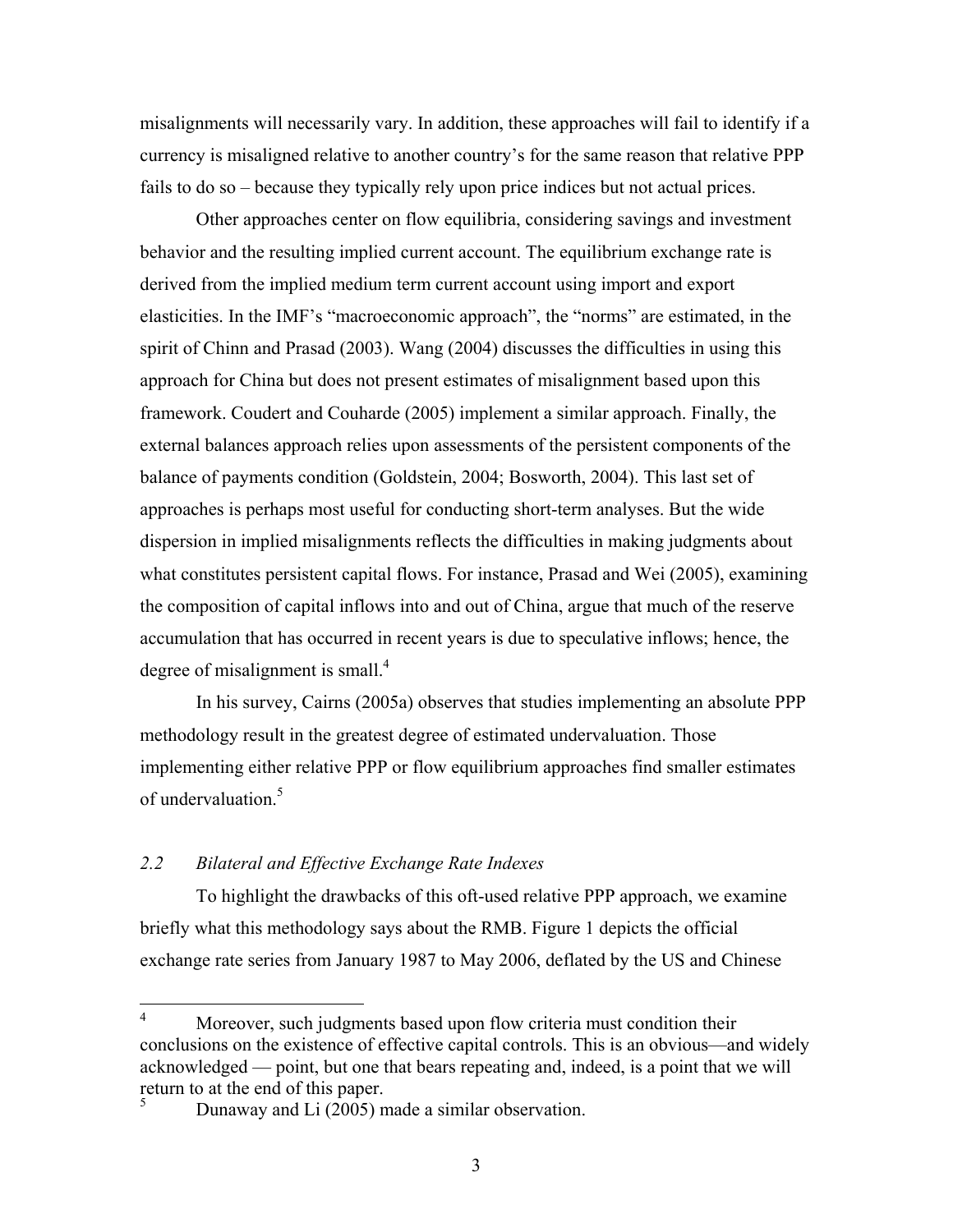misalignments will necessarily vary. In addition, these approaches will fail to identify if a currency is misaligned relative to another country's for the same reason that relative PPP fails to do so – because they typically rely upon price indices but not actual prices.

Other approaches center on flow equilibria, considering savings and investment behavior and the resulting implied current account. The equilibrium exchange rate is derived from the implied medium term current account using import and export elasticities. In the IMF's "macroeconomic approach", the "norms" are estimated, in the spirit of Chinn and Prasad (2003). Wang (2004) discusses the difficulties in using this approach for China but does not present estimates of misalignment based upon this framework. Coudert and Couharde (2005) implement a similar approach. Finally, the external balances approach relies upon assessments of the persistent components of the balance of payments condition (Goldstein, 2004; Bosworth, 2004). This last set of approaches is perhaps most useful for conducting short-term analyses. But the wide dispersion in implied misalignments reflects the difficulties in making judgments about what constitutes persistent capital flows. For instance, Prasad and Wei (2005), examining the composition of capital inflows into and out of China, argue that much of the reserve accumulation that has occurred in recent years is due to speculative inflows; hence, the degree of misalignment is small.<sup>4</sup>

In his survey, Cairns (2005a) observes that studies implementing an absolute PPP methodology result in the greatest degree of estimated undervaluation. Those implementing either relative PPP or flow equilibrium approaches find smaller estimates of undervaluation.<sup>5</sup>

# *2.2 Bilateral and Effective Exchange Rate Indexes*

To highlight the drawbacks of this oft-used relative PPP approach, we examine briefly what this methodology says about the RMB. Figure 1 depicts the official exchange rate series from January 1987 to May 2006, deflated by the US and Chinese

 $\frac{1}{4}$  Moreover, such judgments based upon flow criteria must condition their conclusions on the existence of effective capital controls. This is an obvious—and widely acknowledged — point, but one that bears repeating and, indeed, is a point that we will return to at the end of this paper. 5

Dunaway and Li (2005) made a similar observation.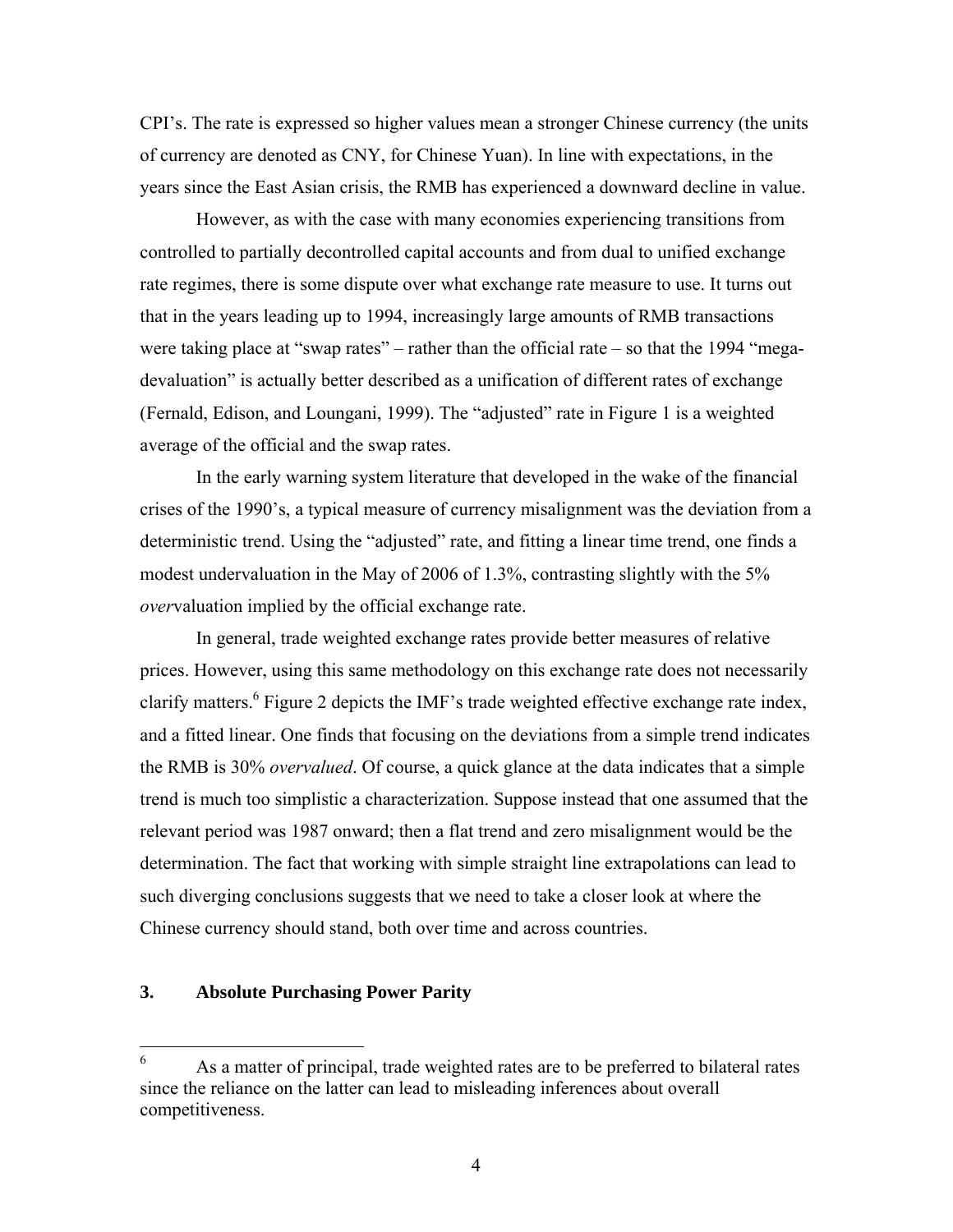CPI's. The rate is expressed so higher values mean a stronger Chinese currency (the units of currency are denoted as CNY, for Chinese Yuan). In line with expectations, in the years since the East Asian crisis, the RMB has experienced a downward decline in value.

 However, as with the case with many economies experiencing transitions from controlled to partially decontrolled capital accounts and from dual to unified exchange rate regimes, there is some dispute over what exchange rate measure to use. It turns out that in the years leading up to 1994, increasingly large amounts of RMB transactions were taking place at "swap rates" – rather than the official rate – so that the 1994 "megadevaluation" is actually better described as a unification of different rates of exchange (Fernald, Edison, and Loungani, 1999). The "adjusted" rate in Figure 1 is a weighted average of the official and the swap rates.

In the early warning system literature that developed in the wake of the financial crises of the 1990's, a typical measure of currency misalignment was the deviation from a deterministic trend. Using the "adjusted" rate, and fitting a linear time trend, one finds a modest undervaluation in the May of 2006 of 1.3%, contrasting slightly with the 5% *over*valuation implied by the official exchange rate.

In general, trade weighted exchange rates provide better measures of relative prices. However, using this same methodology on this exchange rate does not necessarily clarify matters.<sup>6</sup> Figure 2 depicts the IMF's trade weighted effective exchange rate index, and a fitted linear. One finds that focusing on the deviations from a simple trend indicates the RMB is 30% *overvalued*. Of course, a quick glance at the data indicates that a simple trend is much too simplistic a characterization. Suppose instead that one assumed that the relevant period was 1987 onward; then a flat trend and zero misalignment would be the determination. The fact that working with simple straight line extrapolations can lead to such diverging conclusions suggests that we need to take a closer look at where the Chinese currency should stand, both over time and across countries.

# **3. Absolute Purchasing Power Parity**

 6 As a matter of principal, trade weighted rates are to be preferred to bilateral rates since the reliance on the latter can lead to misleading inferences about overall competitiveness.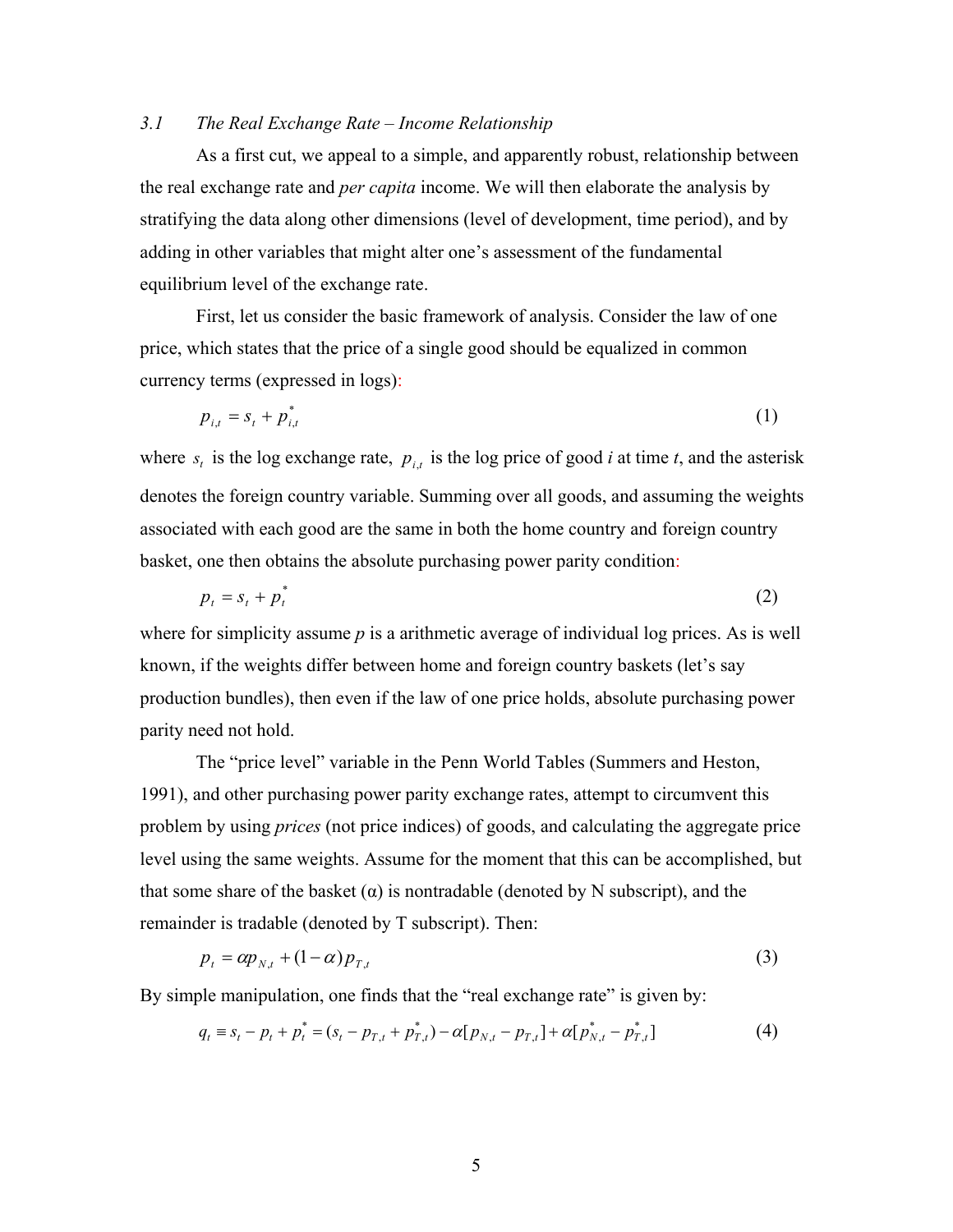## *3.1 The Real Exchange Rate – Income Relationship*

As a first cut, we appeal to a simple, and apparently robust, relationship between the real exchange rate and *per capita* income. We will then elaborate the analysis by stratifying the data along other dimensions (level of development, time period), and by adding in other variables that might alter one's assessment of the fundamental equilibrium level of the exchange rate.

First, let us consider the basic framework of analysis. Consider the law of one price, which states that the price of a single good should be equalized in common currency terms (expressed in logs):

$$
p_{i,t} = s_t + p_{i,t}^* \tag{1}
$$

where  $s_t$  is the log exchange rate,  $p_{i,t}$  is the log price of good *i* at time *t*, and the asterisk denotes the foreign country variable. Summing over all goods, and assuming the weights associated with each good are the same in both the home country and foreign country basket, one then obtains the absolute purchasing power parity condition:

$$
p_t = s_t + p_t^* \tag{2}
$$

where for simplicity assume *p* is a arithmetic average of individual log prices. As is well known, if the weights differ between home and foreign country baskets (let's say production bundles), then even if the law of one price holds, absolute purchasing power parity need not hold.

 The "price level" variable in the Penn World Tables (Summers and Heston, 1991), and other purchasing power parity exchange rates, attempt to circumvent this problem by using *prices* (not price indices) of goods, and calculating the aggregate price level using the same weights. Assume for the moment that this can be accomplished, but that some share of the basket  $(\alpha)$  is nontradable (denoted by N subscript), and the remainder is tradable (denoted by T subscript). Then:

$$
p_t = \alpha p_{N,t} + (1 - \alpha) p_{T,t} \tag{3}
$$

By simple manipulation, one finds that the "real exchange rate" is given by:

$$
q_{t} = s_{t} - p_{t} + p_{t}^{*} = (s_{t} - p_{T,t} + p_{T,t}^{*}) - \alpha [p_{N,t} - p_{T,t}] + \alpha [p_{N,t}^{*} - p_{T,t}^{*}]
$$
(4)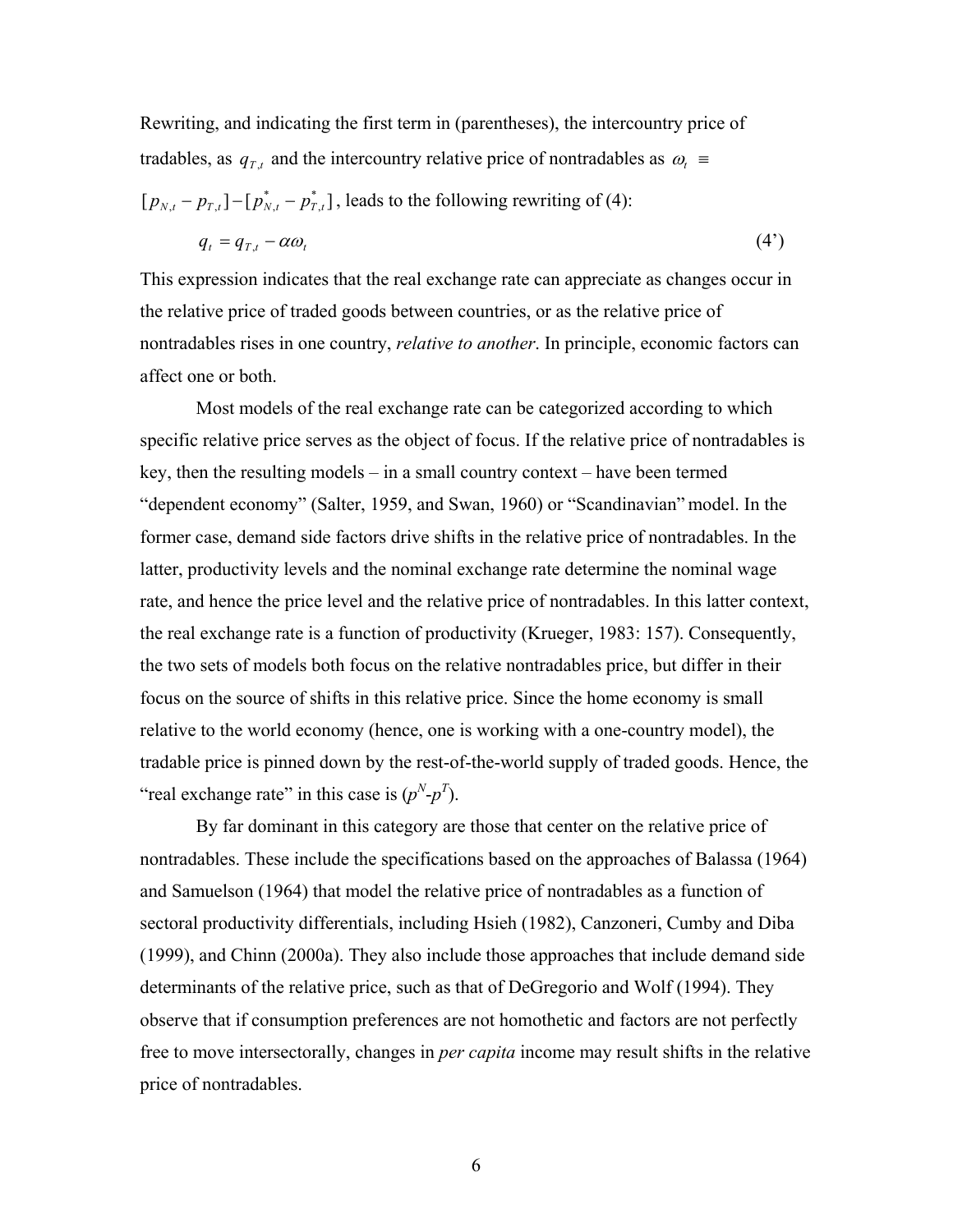Rewriting, and indicating the first term in (parentheses), the intercountry price of tradables, as  $q_{T,t}$  and the intercountry relative price of nontradables as  $\omega_t$ 

 $[ p_{\scriptscriptstyle N,t}^{} - p_{\scriptscriptstyle T,t}^{} ] - [ p_{\scriptscriptstyle N,t}^* - p_{\scriptscriptstyle T,t}^* ]$  $p_{N,t} - p_{T,t}$ ] - [ $p_{N,t}^* - p_{T,t}^*$ ], leads to the following rewriting of (4):

$$
q_t = q_{T,t} - \alpha \omega_t \tag{4'}
$$

This expression indicates that the real exchange rate can appreciate as changes occur in the relative price of traded goods between countries, or as the relative price of nontradables rises in one country, *relative to another*. In principle, economic factors can affect one or both.

Most models of the real exchange rate can be categorized according to which specific relative price serves as the object of focus. If the relative price of nontradables is key, then the resulting models – in a small country context – have been termed "dependent economy" (Salter, 1959, and Swan, 1960) or "Scandinavian" model. In the former case, demand side factors drive shifts in the relative price of nontradables. In the latter, productivity levels and the nominal exchange rate determine the nominal wage rate, and hence the price level and the relative price of nontradables. In this latter context, the real exchange rate is a function of productivity (Krueger, 1983: 157). Consequently, the two sets of models both focus on the relative nontradables price, but differ in their focus on the source of shifts in this relative price. Since the home economy is small relative to the world economy (hence, one is working with a one-country model), the tradable price is pinned down by the rest-of-the-world supply of traded goods. Hence, the "real exchange rate" in this case is  $(p^N-p^T)$ .

By far dominant in this category are those that center on the relative price of nontradables. These include the specifications based on the approaches of Balassa (1964) and Samuelson (1964) that model the relative price of nontradables as a function of sectoral productivity differentials, including Hsieh (1982), Canzoneri, Cumby and Diba (1999), and Chinn (2000a). They also include those approaches that include demand side determinants of the relative price, such as that of DeGregorio and Wolf (1994). They observe that if consumption preferences are not homothetic and factors are not perfectly free to move intersectorally, changes in *per capita* income may result shifts in the relative price of nontradables.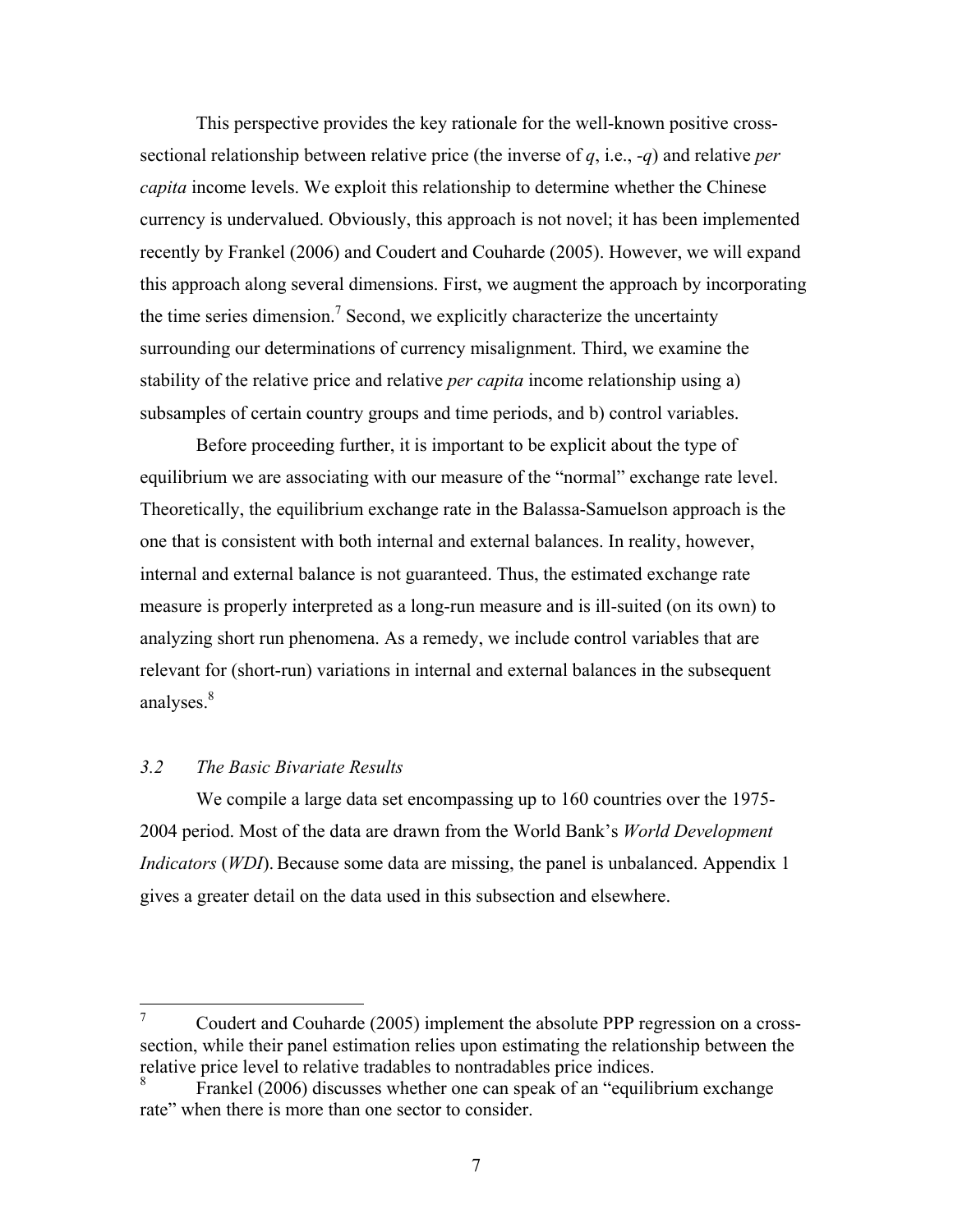This perspective provides the key rationale for the well-known positive crosssectional relationship between relative price (the inverse of *q*, i.e., *-q*) and relative *per capita* income levels. We exploit this relationship to determine whether the Chinese currency is undervalued. Obviously, this approach is not novel; it has been implemented recently by Frankel (2006) and Coudert and Couharde (2005). However, we will expand this approach along several dimensions. First, we augment the approach by incorporating the time series dimension.<sup>7</sup> Second, we explicitly characterize the uncertainty surrounding our determinations of currency misalignment. Third, we examine the stability of the relative price and relative *per capita* income relationship using a) subsamples of certain country groups and time periods, and b) control variables.

Before proceeding further, it is important to be explicit about the type of equilibrium we are associating with our measure of the "normal" exchange rate level. Theoretically, the equilibrium exchange rate in the Balassa-Samuelson approach is the one that is consistent with both internal and external balances. In reality, however, internal and external balance is not guaranteed. Thus, the estimated exchange rate measure is properly interpreted as a long-run measure and is ill-suited (on its own) to analyzing short run phenomena. As a remedy, we include control variables that are relevant for (short-run) variations in internal and external balances in the subsequent analyses.<sup>8</sup>

## *3.2 The Basic Bivariate Results*

 We compile a large data set encompassing up to 160 countries over the 1975- 2004 period. Most of the data are drawn from the World Bank's *World Development Indicators (WDI)*. Because some data are missing, the panel is unbalanced. Appendix 1 gives a greater detail on the data used in this subsection and elsewhere.

<sup>—&</sup>lt;br>7 Coudert and Couharde (2005) implement the absolute PPP regression on a crosssection, while their panel estimation relies upon estimating the relationship between the relative price level to relative tradables to nontradables price indices.

<sup>8</sup> Frankel (2006) discusses whether one can speak of an "equilibrium exchange rate" when there is more than one sector to consider.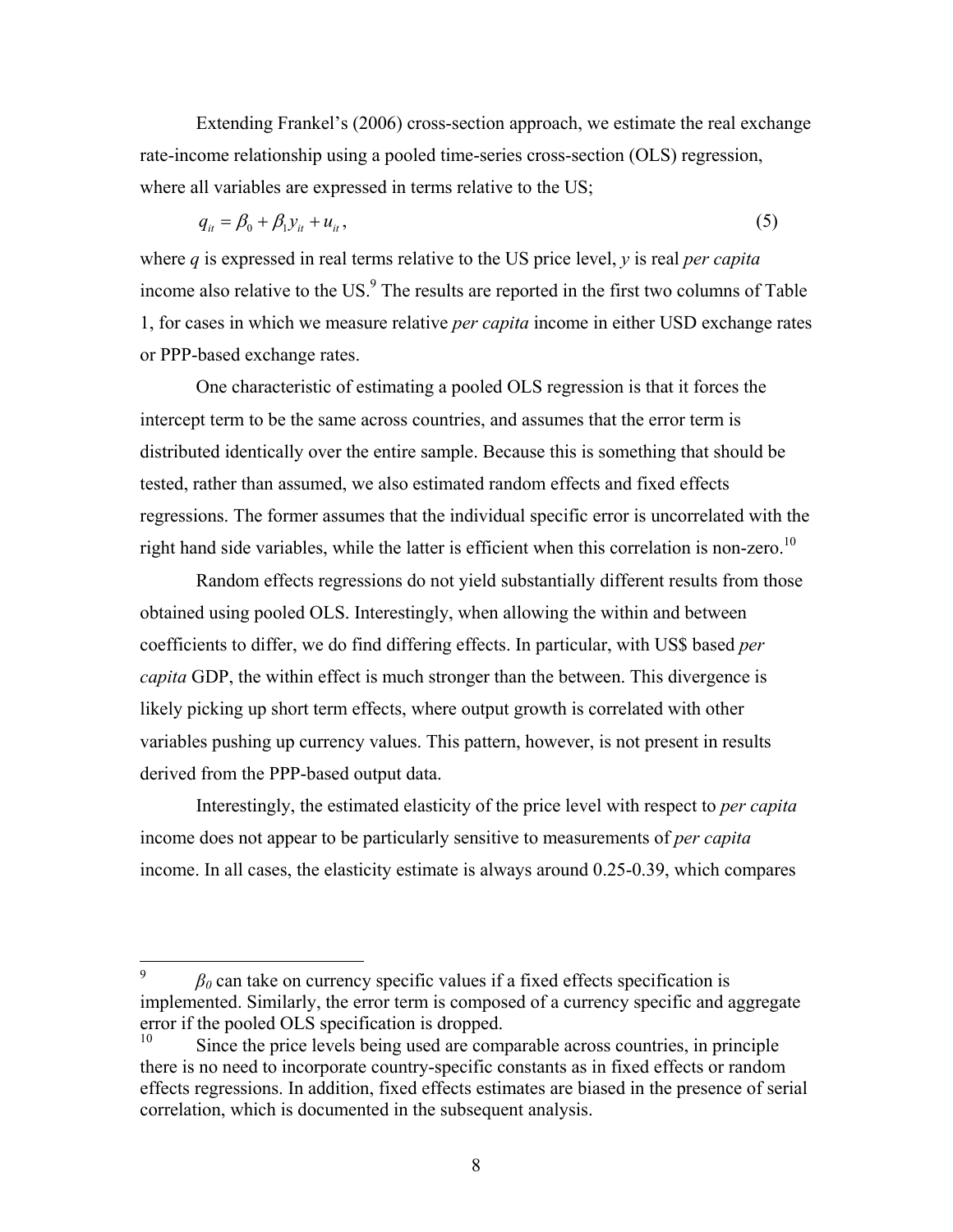Extending Frankel's (2006) cross-section approach, we estimate the real exchange rate-income relationship using a pooled time-series cross-section (OLS) regression, where all variables are expressed in terms relative to the US;

$$
q_{it} = \beta_0 + \beta_1 y_{it} + u_{it},\tag{5}
$$

where *q* is expressed in real terms relative to the US price level, *y* is real *per capita* income also relative to the US. $<sup>9</sup>$  The results are reported in the first two columns of Table</sup> 1, for cases in which we measure relative *per capita* income in either USD exchange rates or PPP-based exchange rates.

One characteristic of estimating a pooled OLS regression is that it forces the intercept term to be the same across countries, and assumes that the error term is distributed identically over the entire sample. Because this is something that should be tested, rather than assumed, we also estimated random effects and fixed effects regressions. The former assumes that the individual specific error is uncorrelated with the right hand side variables, while the latter is efficient when this correlation is non-zero.<sup>10</sup>

Random effects regressions do not yield substantially different results from those obtained using pooled OLS. Interestingly, when allowing the within and between coefficients to differ, we do find differing effects. In particular, with US\$ based *per capita* GDP, the within effect is much stronger than the between. This divergence is likely picking up short term effects, where output growth is correlated with other variables pushing up currency values. This pattern, however, is not present in results derived from the PPP-based output data.

 Interestingly, the estimated elasticity of the price level with respect to *per capita* income does not appear to be particularly sensitive to measurements of *per capita* income. In all cases, the elasticity estimate is always around 0.25-0.39, which compares

<sup>9</sup>  $\beta_0$  can take on currency specific values if a fixed effects specification is implemented. Similarly, the error term is composed of a currency specific and aggregate error if the pooled OLS specification is dropped.

Since the price levels being used are comparable across countries, in principle there is no need to incorporate country-specific constants as in fixed effects or random effects regressions. In addition, fixed effects estimates are biased in the presence of serial correlation, which is documented in the subsequent analysis.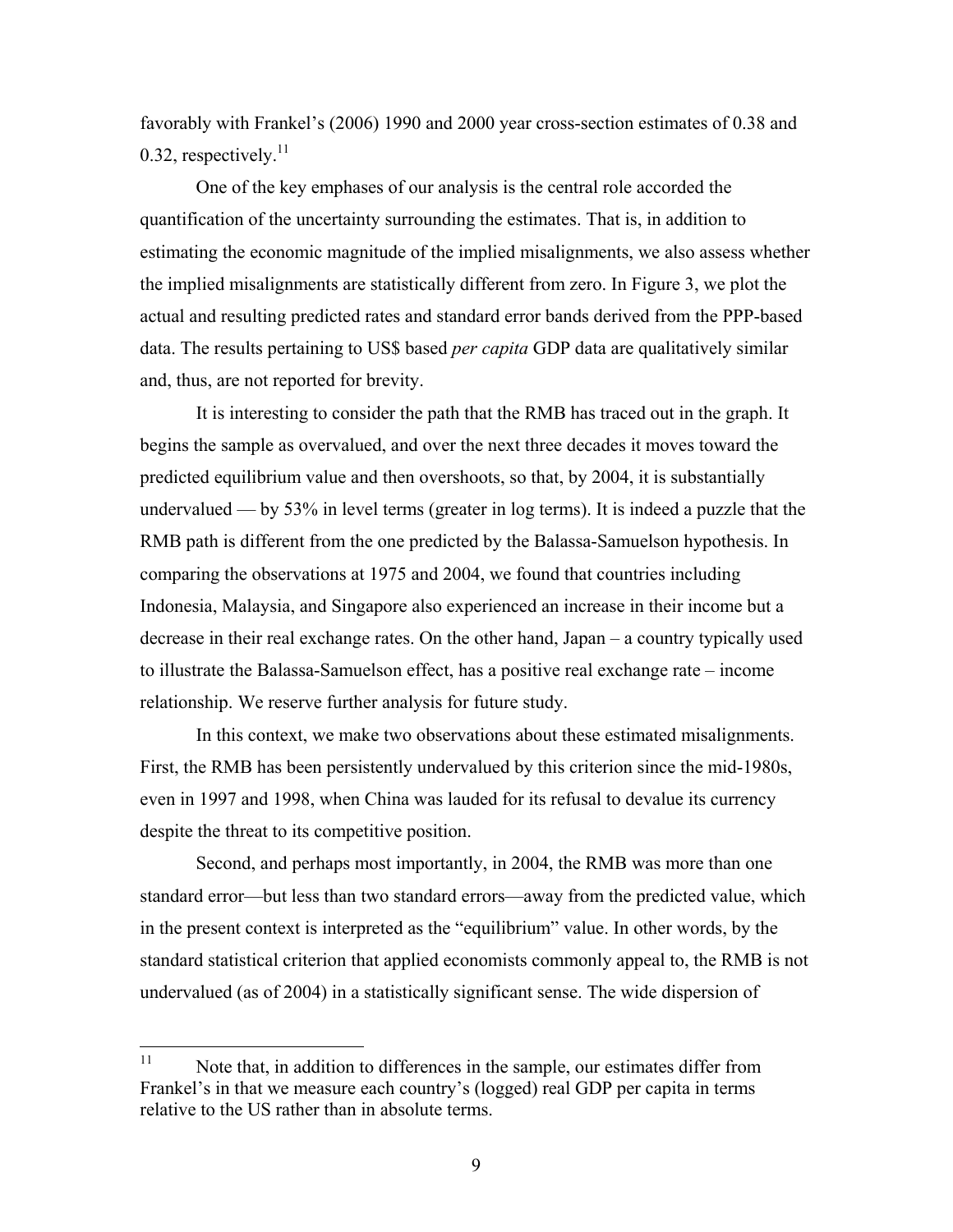favorably with Frankel's (2006) 1990 and 2000 year cross-section estimates of 0.38 and 0.32, respectively. $^{11}$ 

 One of the key emphases of our analysis is the central role accorded the quantification of the uncertainty surrounding the estimates. That is, in addition to estimating the economic magnitude of the implied misalignments, we also assess whether the implied misalignments are statistically different from zero. In Figure 3, we plot the actual and resulting predicted rates and standard error bands derived from the PPP-based data. The results pertaining to US\$ based *per capita* GDP data are qualitatively similar and, thus, are not reported for brevity.

It is interesting to consider the path that the RMB has traced out in the graph. It begins the sample as overvalued, and over the next three decades it moves toward the predicted equilibrium value and then overshoots, so that, by 2004, it is substantially undervalued — by 53% in level terms (greater in log terms). It is indeed a puzzle that the RMB path is different from the one predicted by the Balassa-Samuelson hypothesis. In comparing the observations at 1975 and 2004, we found that countries including Indonesia, Malaysia, and Singapore also experienced an increase in their income but a decrease in their real exchange rates. On the other hand, Japan – a country typically used to illustrate the Balassa-Samuelson effect, has a positive real exchange rate – income relationship. We reserve further analysis for future study.

In this context, we make two observations about these estimated misalignments. First, the RMB has been persistently undervalued by this criterion since the mid-1980s, even in 1997 and 1998, when China was lauded for its refusal to devalue its currency despite the threat to its competitive position.

Second, and perhaps most importantly, in 2004, the RMB was more than one standard error—but less than two standard errors—away from the predicted value, which in the present context is interpreted as the "equilibrium" value. In other words, by the standard statistical criterion that applied economists commonly appeal to, the RMB is not undervalued (as of 2004) in a statistically significant sense. The wide dispersion of

 $11$ Note that, in addition to differences in the sample, our estimates differ from Frankel's in that we measure each country's (logged) real GDP per capita in terms relative to the US rather than in absolute terms.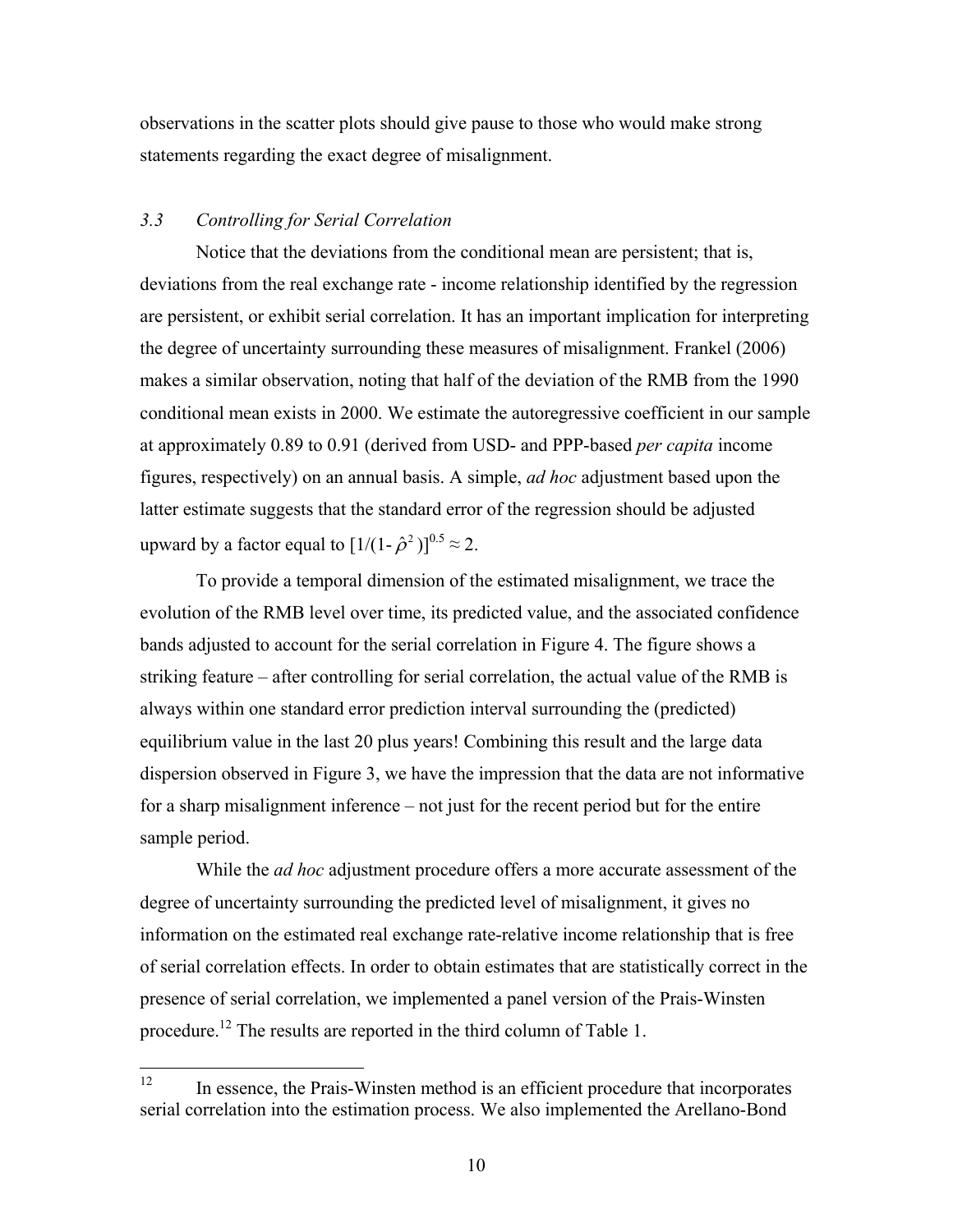observations in the scatter plots should give pause to those who would make strong statements regarding the exact degree of misalignment.

## *3.3 Controlling for Serial Correlation*

Notice that the deviations from the conditional mean are persistent; that is, deviations from the real exchange rate - income relationship identified by the regression are persistent, or exhibit serial correlation. It has an important implication for interpreting the degree of uncertainty surrounding these measures of misalignment. Frankel (2006) makes a similar observation, noting that half of the deviation of the RMB from the 1990 conditional mean exists in 2000. We estimate the autoregressive coefficient in our sample at approximately 0.89 to 0.91 (derived from USD- and PPP-based *per capita* income figures, respectively) on an annual basis. A simple, *ad hoc* adjustment based upon the latter estimate suggests that the standard error of the regression should be adjusted upward by a factor equal to  $[1/(1-\hat{\rho}^2)]^{0.5} \approx 2$ .

To provide a temporal dimension of the estimated misalignment, we trace the evolution of the RMB level over time, its predicted value, and the associated confidence bands adjusted to account for the serial correlation in Figure 4. The figure shows a striking feature – after controlling for serial correlation, the actual value of the RMB is always within one standard error prediction interval surrounding the (predicted) equilibrium value in the last 20 plus years! Combining this result and the large data dispersion observed in Figure 3, we have the impression that the data are not informative for a sharp misalignment inference – not just for the recent period but for the entire sample period.

While the *ad hoc* adjustment procedure offers a more accurate assessment of the degree of uncertainty surrounding the predicted level of misalignment, it gives no information on the estimated real exchange rate-relative income relationship that is free of serial correlation effects. In order to obtain estimates that are statistically correct in the presence of serial correlation, we implemented a panel version of the Prais-Winsten procedure.12 The results are reported in the third column of Table 1.

 $12$ 12 In essence, the Prais-Winsten method is an efficient procedure that incorporates serial correlation into the estimation process. We also implemented the Arellano-Bond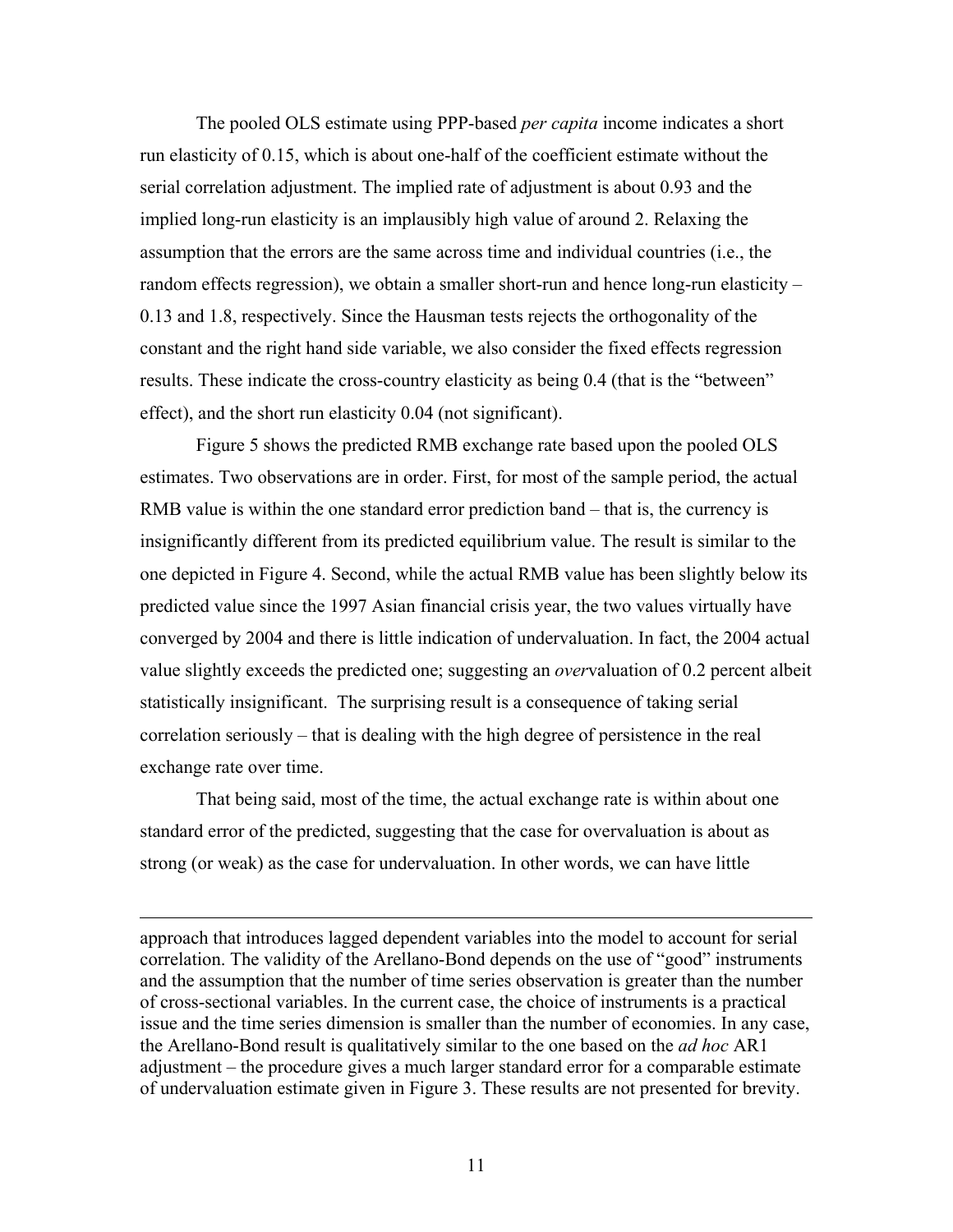The pooled OLS estimate using PPP-based *per capita* income indicates a short run elasticity of 0.15, which is about one-half of the coefficient estimate without the serial correlation adjustment. The implied rate of adjustment is about 0.93 and the implied long-run elasticity is an implausibly high value of around 2. Relaxing the assumption that the errors are the same across time and individual countries (i.e., the random effects regression), we obtain a smaller short-run and hence long-run elasticity – 0.13 and 1.8, respectively. Since the Hausman tests rejects the orthogonality of the constant and the right hand side variable, we also consider the fixed effects regression results. These indicate the cross-country elasticity as being 0.4 (that is the "between" effect), and the short run elasticity 0.04 (not significant).

Figure 5 shows the predicted RMB exchange rate based upon the pooled OLS estimates. Two observations are in order. First, for most of the sample period, the actual RMB value is within the one standard error prediction band – that is, the currency is insignificantly different from its predicted equilibrium value. The result is similar to the one depicted in Figure 4. Second, while the actual RMB value has been slightly below its predicted value since the 1997 Asian financial crisis year, the two values virtually have converged by 2004 and there is little indication of undervaluation. In fact, the 2004 actual value slightly exceeds the predicted one; suggesting an *over*valuation of 0.2 percent albeit statistically insignificant. The surprising result is a consequence of taking serial correlation seriously – that is dealing with the high degree of persistence in the real exchange rate over time.

That being said, most of the time, the actual exchange rate is within about one standard error of the predicted, suggesting that the case for overvaluation is about as strong (or weak) as the case for undervaluation. In other words, we can have little

 $\overline{a}$ 

approach that introduces lagged dependent variables into the model to account for serial correlation. The validity of the Arellano-Bond depends on the use of "good" instruments and the assumption that the number of time series observation is greater than the number of cross-sectional variables. In the current case, the choice of instruments is a practical issue and the time series dimension is smaller than the number of economies. In any case, the Arellano-Bond result is qualitatively similar to the one based on the *ad hoc* AR1 adjustment – the procedure gives a much larger standard error for a comparable estimate of undervaluation estimate given in Figure 3. These results are not presented for brevity.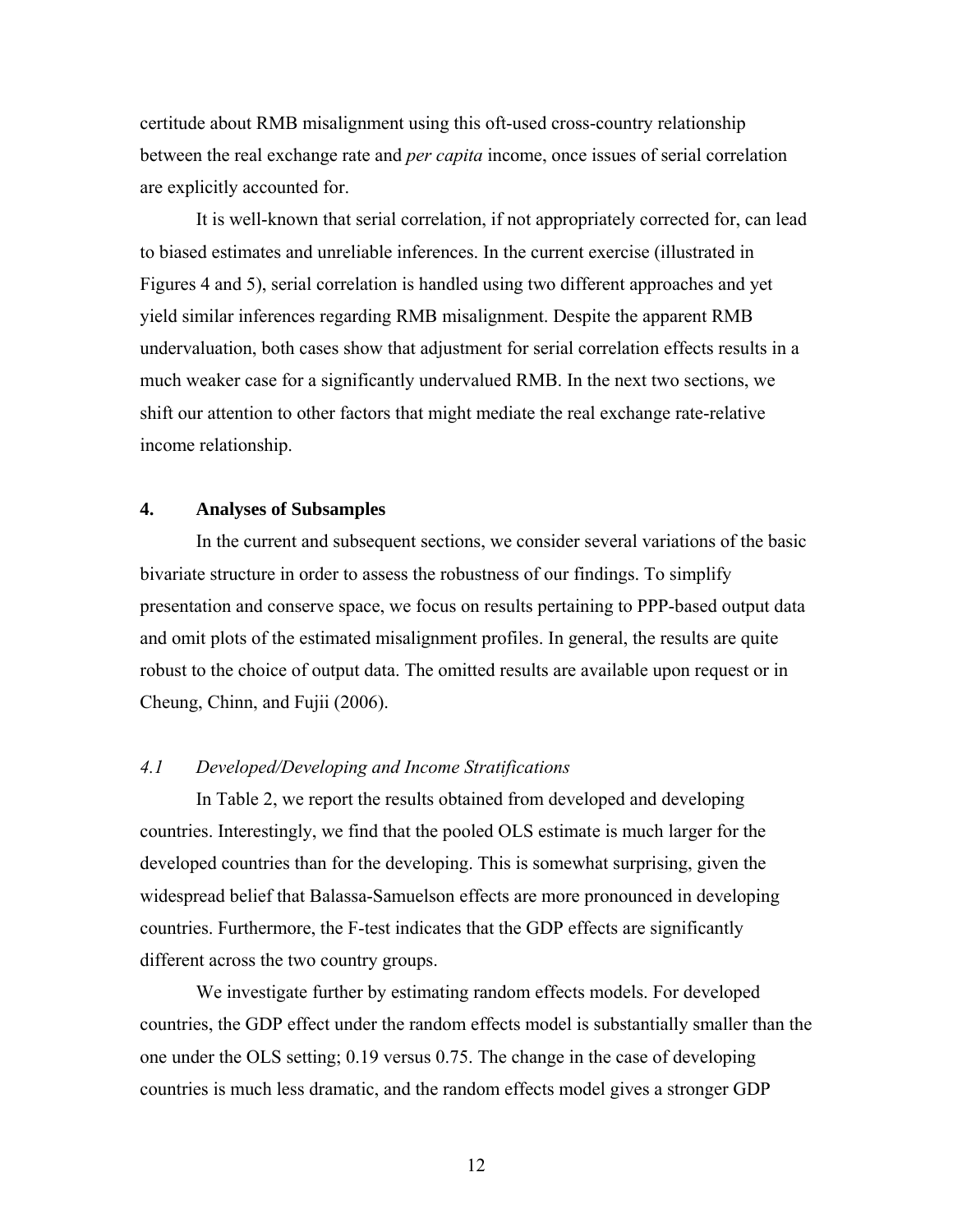certitude about RMB misalignment using this oft-used cross-country relationship between the real exchange rate and *per capita* income, once issues of serial correlation are explicitly accounted for.

It is well-known that serial correlation, if not appropriately corrected for, can lead to biased estimates and unreliable inferences. In the current exercise (illustrated in Figures 4 and 5), serial correlation is handled using two different approaches and yet yield similar inferences regarding RMB misalignment. Despite the apparent RMB undervaluation, both cases show that adjustment for serial correlation effects results in a much weaker case for a significantly undervalued RMB. In the next two sections, we shift our attention to other factors that might mediate the real exchange rate-relative income relationship.

## **4. Analyses of Subsamples**

In the current and subsequent sections, we consider several variations of the basic bivariate structure in order to assess the robustness of our findings. To simplify presentation and conserve space, we focus on results pertaining to PPP-based output data and omit plots of the estimated misalignment profiles. In general, the results are quite robust to the choice of output data. The omitted results are available upon request or in Cheung, Chinn, and Fujii (2006).

## *4.1 Developed/Developing and Income Stratifications*

In Table 2, we report the results obtained from developed and developing countries. Interestingly, we find that the pooled OLS estimate is much larger for the developed countries than for the developing. This is somewhat surprising, given the widespread belief that Balassa-Samuelson effects are more pronounced in developing countries. Furthermore, the F-test indicates that the GDP effects are significantly different across the two country groups.

We investigate further by estimating random effects models. For developed countries, the GDP effect under the random effects model is substantially smaller than the one under the OLS setting; 0.19 versus 0.75. The change in the case of developing countries is much less dramatic, and the random effects model gives a stronger GDP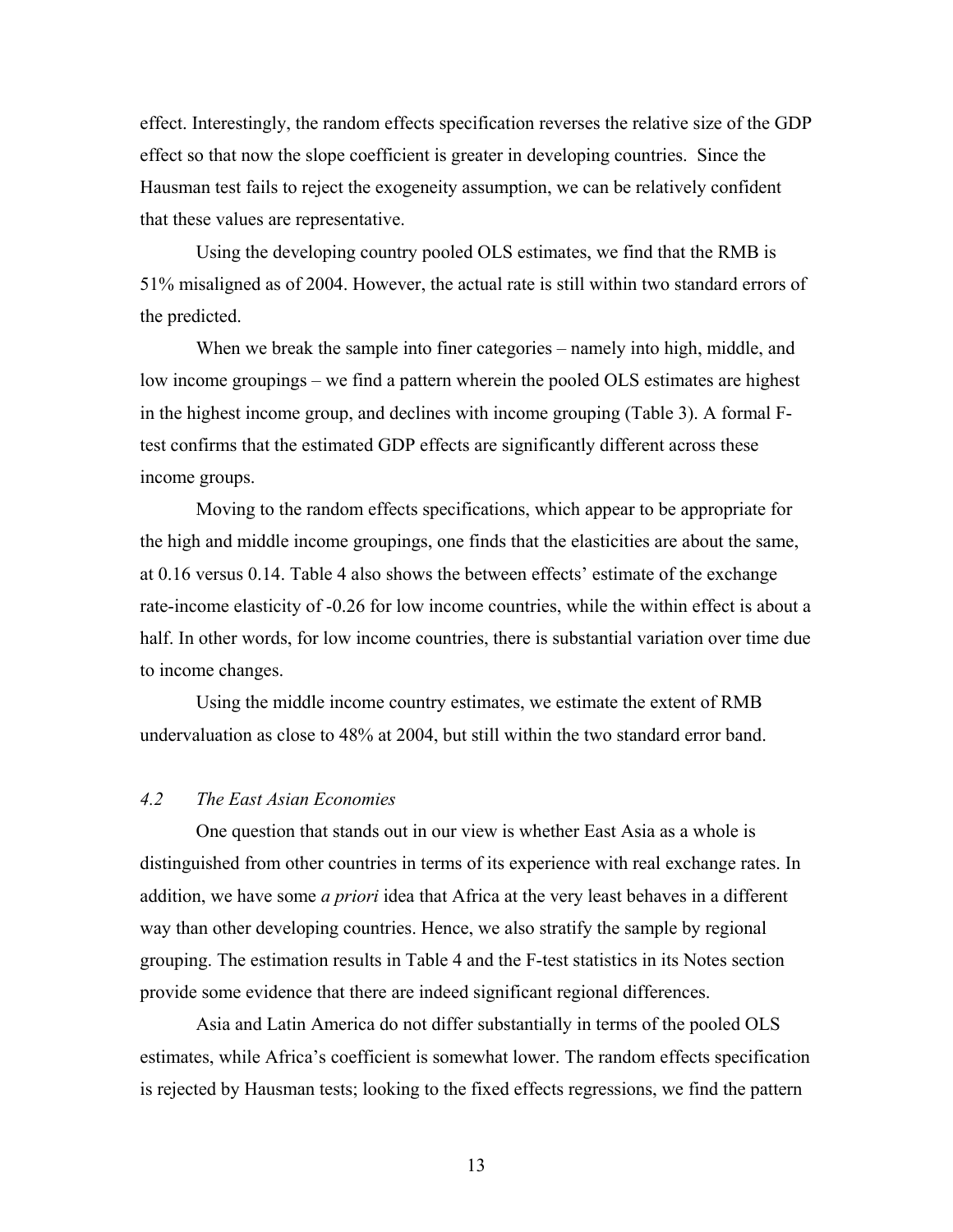effect. Interestingly, the random effects specification reverses the relative size of the GDP effect so that now the slope coefficient is greater in developing countries. Since the Hausman test fails to reject the exogeneity assumption, we can be relatively confident that these values are representative.

Using the developing country pooled OLS estimates, we find that the RMB is 51% misaligned as of 2004. However, the actual rate is still within two standard errors of the predicted.

 When we break the sample into finer categories – namely into high, middle, and low income groupings – we find a pattern wherein the pooled OLS estimates are highest in the highest income group, and declines with income grouping (Table 3). A formal Ftest confirms that the estimated GDP effects are significantly different across these income groups.

 Moving to the random effects specifications, which appear to be appropriate for the high and middle income groupings, one finds that the elasticities are about the same, at 0.16 versus 0.14. Table 4 also shows the between effects' estimate of the exchange rate-income elasticity of -0.26 for low income countries, while the within effect is about a half. In other words, for low income countries, there is substantial variation over time due to income changes.

 Using the middle income country estimates, we estimate the extent of RMB undervaluation as close to 48% at 2004, but still within the two standard error band.

# *4.2 The East Asian Economies*

One question that stands out in our view is whether East Asia as a whole is distinguished from other countries in terms of its experience with real exchange rates. In addition, we have some *a priori* idea that Africa at the very least behaves in a different way than other developing countries. Hence, we also stratify the sample by regional grouping. The estimation results in Table 4 and the F-test statistics in its Notes section provide some evidence that there are indeed significant regional differences.

 Asia and Latin America do not differ substantially in terms of the pooled OLS estimates, while Africa's coefficient is somewhat lower. The random effects specification is rejected by Hausman tests; looking to the fixed effects regressions, we find the pattern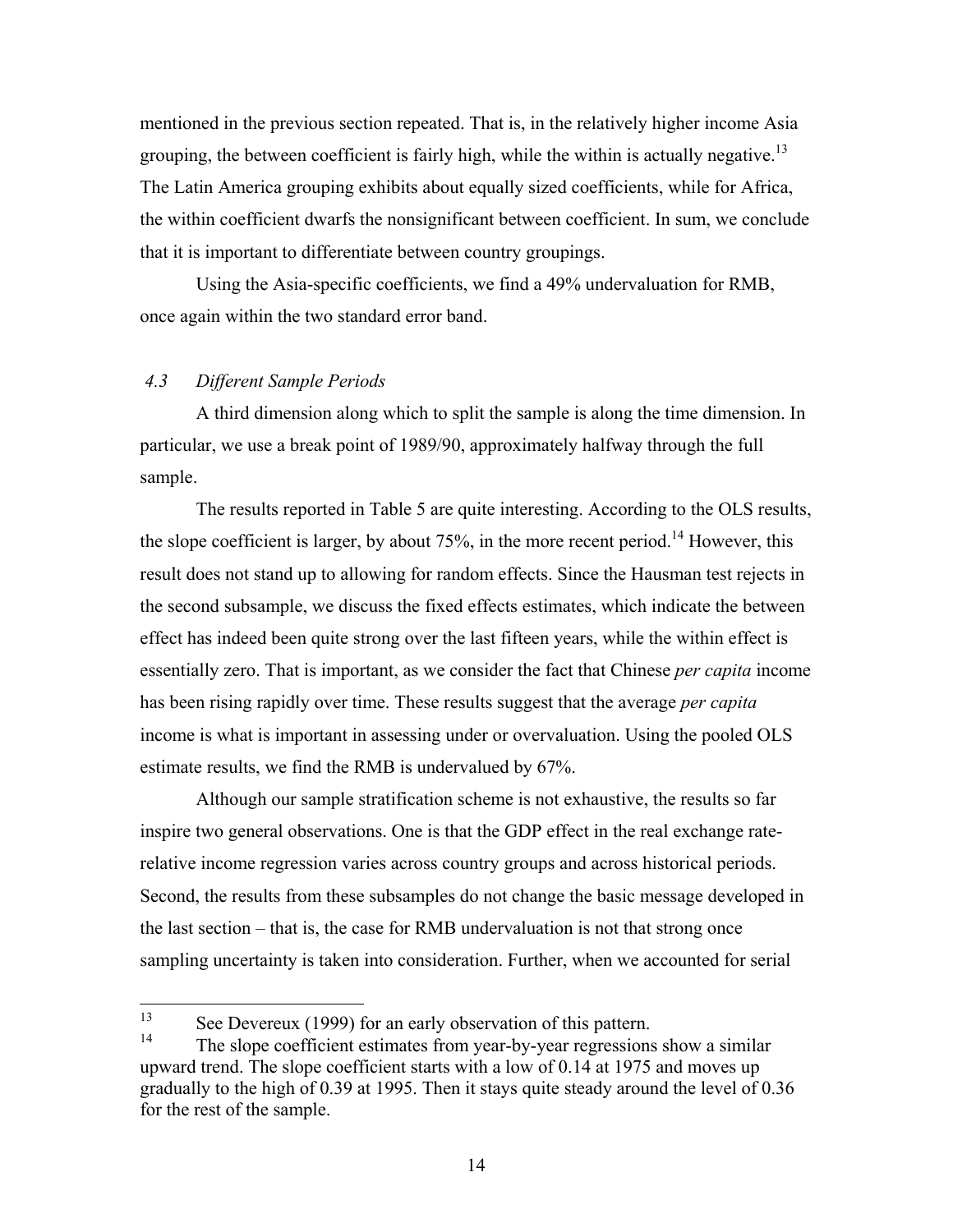mentioned in the previous section repeated. That is, in the relatively higher income Asia grouping, the between coefficient is fairly high, while the within is actually negative.<sup>13</sup> The Latin America grouping exhibits about equally sized coefficients, while for Africa, the within coefficient dwarfs the nonsignificant between coefficient. In sum, we conclude that it is important to differentiate between country groupings.

Using the Asia-specific coefficients, we find a 49% undervaluation for RMB, once again within the two standard error band.

# *4.3 Different Sample Periods*

A third dimension along which to split the sample is along the time dimension. In particular, we use a break point of 1989/90, approximately halfway through the full sample.

 The results reported in Table 5 are quite interesting. According to the OLS results, the slope coefficient is larger, by about 75%, in the more recent period.<sup>14</sup> However, this result does not stand up to allowing for random effects. Since the Hausman test rejects in the second subsample, we discuss the fixed effects estimates, which indicate the between effect has indeed been quite strong over the last fifteen years, while the within effect is essentially zero. That is important, as we consider the fact that Chinese *per capita* income has been rising rapidly over time. These results suggest that the average *per capita* income is what is important in assessing under or overvaluation. Using the pooled OLS estimate results, we find the RMB is undervalued by 67%.

 Although our sample stratification scheme is not exhaustive, the results so far inspire two general observations. One is that the GDP effect in the real exchange raterelative income regression varies across country groups and across historical periods. Second, the results from these subsamples do not change the basic message developed in the last section – that is, the case for RMB undervaluation is not that strong once sampling uncertainty is taken into consideration. Further, when we accounted for serial

 $13<sup>°</sup>$ <sup>13</sup> See Devereux (1999) for an early observation of this pattern.

The slope coefficient estimates from year-by-year regressions show a similar upward trend. The slope coefficient starts with a low of 0.14 at 1975 and moves up gradually to the high of 0.39 at 1995. Then it stays quite steady around the level of 0.36 for the rest of the sample.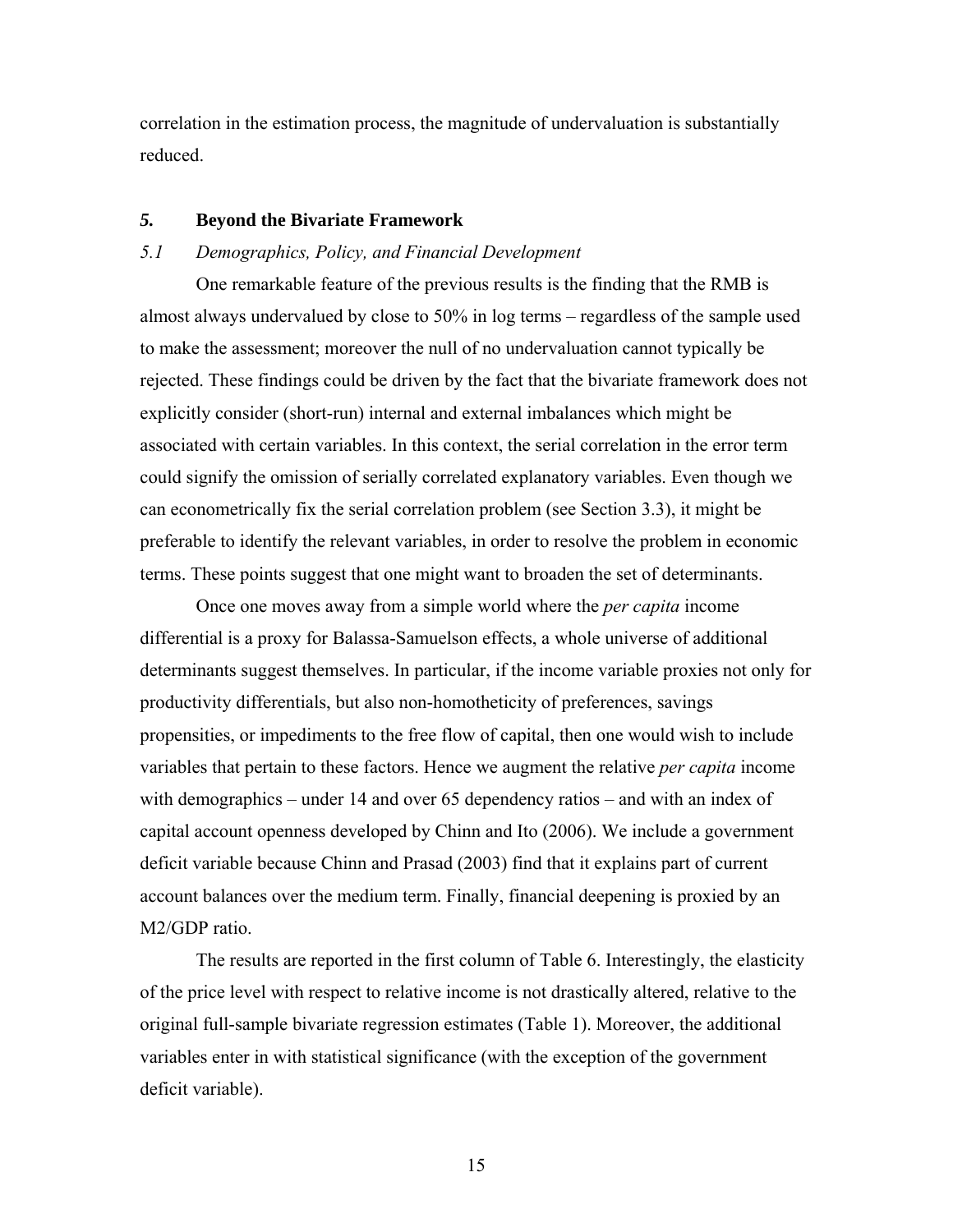correlation in the estimation process, the magnitude of undervaluation is substantially reduced.

#### *5.* **Beyond the Bivariate Framework**

### *5.1 Demographics, Policy, and Financial Development*

One remarkable feature of the previous results is the finding that the RMB is almost always undervalued by close to 50% in log terms – regardless of the sample used to make the assessment; moreover the null of no undervaluation cannot typically be rejected. These findings could be driven by the fact that the bivariate framework does not explicitly consider (short-run) internal and external imbalances which might be associated with certain variables. In this context, the serial correlation in the error term could signify the omission of serially correlated explanatory variables. Even though we can econometrically fix the serial correlation problem (see Section 3.3), it might be preferable to identify the relevant variables, in order to resolve the problem in economic terms. These points suggest that one might want to broaden the set of determinants.

Once one moves away from a simple world where the *per capita* income differential is a proxy for Balassa-Samuelson effects, a whole universe of additional determinants suggest themselves. In particular, if the income variable proxies not only for productivity differentials, but also non-homotheticity of preferences, savings propensities, or impediments to the free flow of capital, then one would wish to include variables that pertain to these factors. Hence we augment the relative *per capita* income with demographics – under 14 and over 65 dependency ratios – and with an index of capital account openness developed by Chinn and Ito (2006). We include a government deficit variable because Chinn and Prasad (2003) find that it explains part of current account balances over the medium term. Finally, financial deepening is proxied by an M2/GDP ratio.

The results are reported in the first column of Table 6. Interestingly, the elasticity of the price level with respect to relative income is not drastically altered, relative to the original full-sample bivariate regression estimates (Table 1). Moreover, the additional variables enter in with statistical significance (with the exception of the government deficit variable).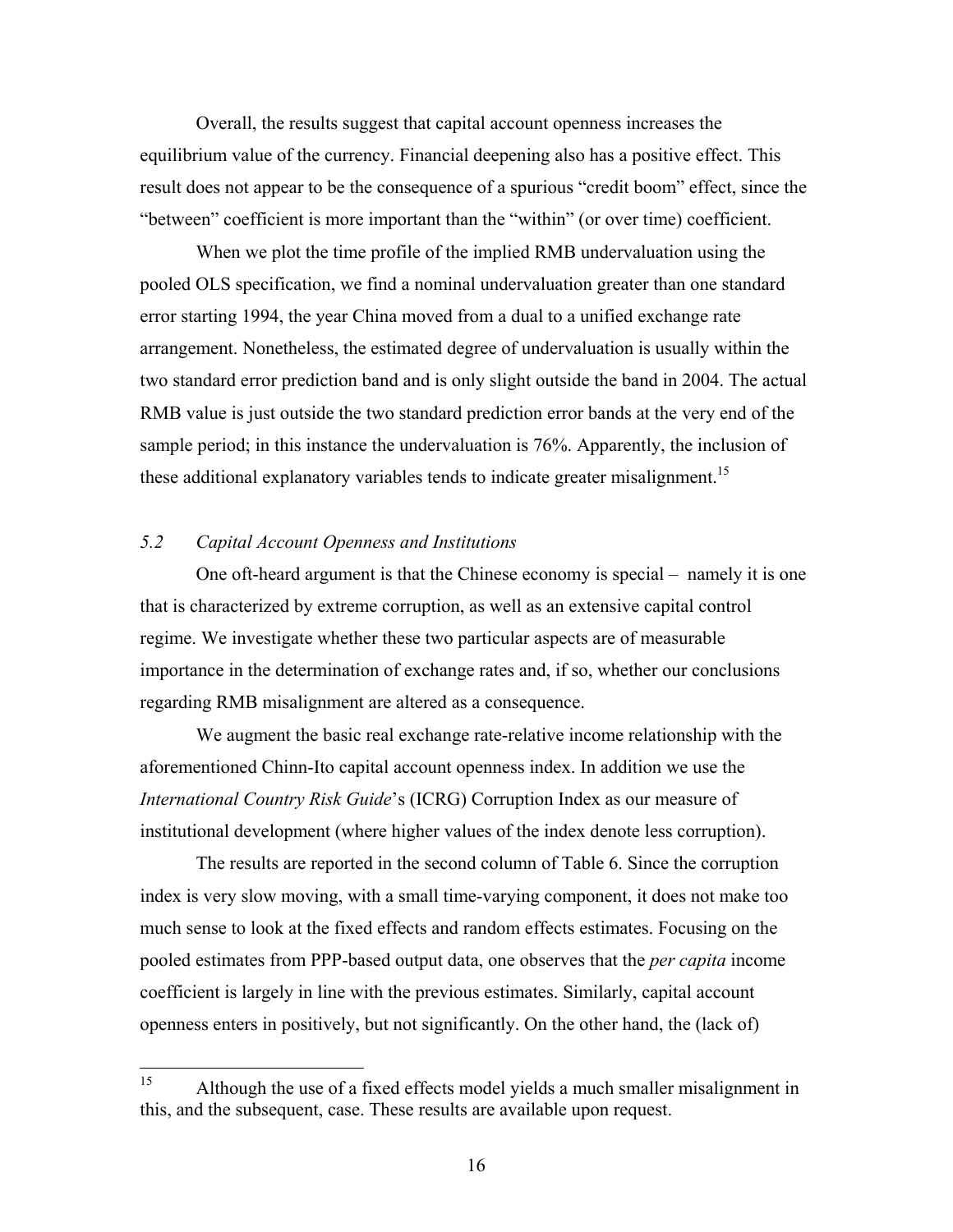Overall, the results suggest that capital account openness increases the equilibrium value of the currency. Financial deepening also has a positive effect. This result does not appear to be the consequence of a spurious "credit boom" effect, since the "between" coefficient is more important than the "within" (or over time) coefficient.

When we plot the time profile of the implied RMB undervaluation using the pooled OLS specification, we find a nominal undervaluation greater than one standard error starting 1994, the year China moved from a dual to a unified exchange rate arrangement. Nonetheless, the estimated degree of undervaluation is usually within the two standard error prediction band and is only slight outside the band in 2004. The actual RMB value is just outside the two standard prediction error bands at the very end of the sample period; in this instance the undervaluation is 76%. Apparently, the inclusion of these additional explanatory variables tends to indicate greater misalignment.<sup>15</sup>

# *5.2 Capital Account Openness and Institutions*

 One oft-heard argument is that the Chinese economy is special – namely it is one that is characterized by extreme corruption, as well as an extensive capital control regime. We investigate whether these two particular aspects are of measurable importance in the determination of exchange rates and, if so, whether our conclusions regarding RMB misalignment are altered as a consequence.

 We augment the basic real exchange rate-relative income relationship with the aforementioned Chinn-Ito capital account openness index. In addition we use the *International Country Risk Guide*'s (ICRG) Corruption Index as our measure of institutional development (where higher values of the index denote less corruption).

 The results are reported in the second column of Table 6. Since the corruption index is very slow moving, with a small time-varying component, it does not make too much sense to look at the fixed effects and random effects estimates. Focusing on the pooled estimates from PPP-based output data, one observes that the *per capita* income coefficient is largely in line with the previous estimates. Similarly, capital account openness enters in positively, but not significantly. On the other hand, the (lack of)

<sup>15</sup> Although the use of a fixed effects model yields a much smaller misalignment in this, and the subsequent, case. These results are available upon request.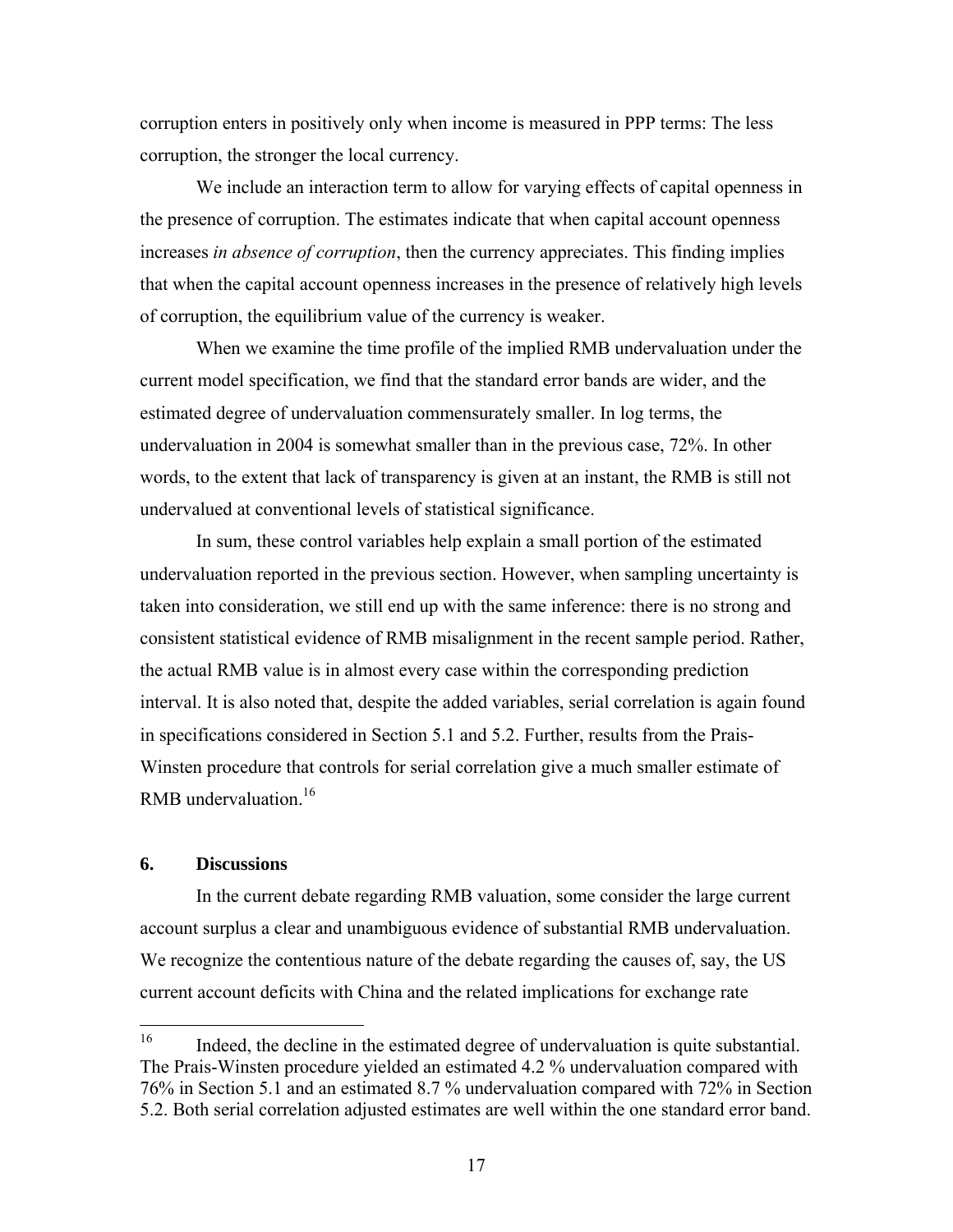corruption enters in positively only when income is measured in PPP terms: The less corruption, the stronger the local currency.

 We include an interaction term to allow for varying effects of capital openness in the presence of corruption. The estimates indicate that when capital account openness increases *in absence of corruption*, then the currency appreciates. This finding implies that when the capital account openness increases in the presence of relatively high levels of corruption, the equilibrium value of the currency is weaker.

When we examine the time profile of the implied RMB undervaluation under the current model specification, we find that the standard error bands are wider, and the estimated degree of undervaluation commensurately smaller. In log terms, the undervaluation in 2004 is somewhat smaller than in the previous case, 72%. In other words, to the extent that lack of transparency is given at an instant, the RMB is still not undervalued at conventional levels of statistical significance.

In sum, these control variables help explain a small portion of the estimated undervaluation reported in the previous section. However, when sampling uncertainty is taken into consideration, we still end up with the same inference: there is no strong and consistent statistical evidence of RMB misalignment in the recent sample period. Rather, the actual RMB value is in almost every case within the corresponding prediction interval. It is also noted that, despite the added variables, serial correlation is again found in specifications considered in Section 5.1 and 5.2. Further, results from the Prais-Winsten procedure that controls for serial correlation give a much smaller estimate of RMB undervaluation.16

## **6. Discussions**

In the current debate regarding RMB valuation, some consider the large current account surplus a clear and unambiguous evidence of substantial RMB undervaluation. We recognize the contentious nature of the debate regarding the causes of, say, the US current account deficits with China and the related implications for exchange rate

<sup>16</sup> Indeed, the decline in the estimated degree of undervaluation is quite substantial. The Prais-Winsten procedure yielded an estimated 4.2 % undervaluation compared with 76% in Section 5.1 and an estimated 8.7 % undervaluation compared with 72% in Section 5.2. Both serial correlation adjusted estimates are well within the one standard error band.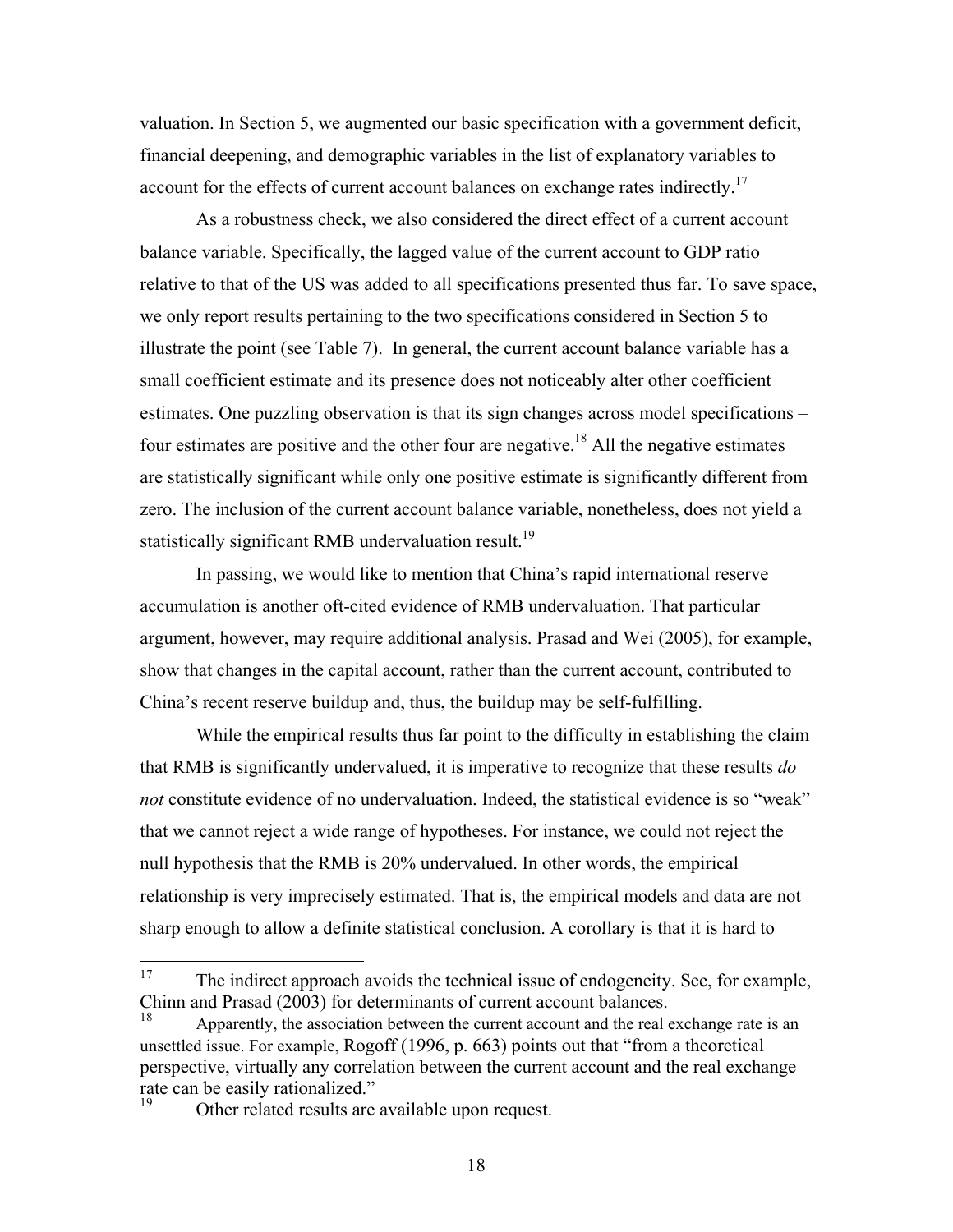valuation. In Section 5, we augmented our basic specification with a government deficit, financial deepening, and demographic variables in the list of explanatory variables to account for the effects of current account balances on exchange rates indirectly.<sup>17</sup>

As a robustness check, we also considered the direct effect of a current account balance variable. Specifically, the lagged value of the current account to GDP ratio relative to that of the US was added to all specifications presented thus far. To save space, we only report results pertaining to the two specifications considered in Section 5 to illustrate the point (see Table 7). In general, the current account balance variable has a small coefficient estimate and its presence does not noticeably alter other coefficient estimates. One puzzling observation is that its sign changes across model specifications – four estimates are positive and the other four are negative.<sup>18</sup> All the negative estimates are statistically significant while only one positive estimate is significantly different from zero. The inclusion of the current account balance variable, nonetheless, does not yield a statistically significant RMB undervaluation result.<sup>19</sup>

In passing, we would like to mention that China's rapid international reserve accumulation is another oft-cited evidence of RMB undervaluation. That particular argument, however, may require additional analysis. Prasad and Wei (2005), for example, show that changes in the capital account, rather than the current account, contributed to China's recent reserve buildup and, thus, the buildup may be self-fulfilling.

While the empirical results thus far point to the difficulty in establishing the claim that RMB is significantly undervalued, it is imperative to recognize that these results *do not* constitute evidence of no undervaluation. Indeed, the statistical evidence is so "weak" that we cannot reject a wide range of hypotheses. For instance, we could not reject the null hypothesis that the RMB is 20% undervalued. In other words, the empirical relationship is very imprecisely estimated. That is, the empirical models and data are not sharp enough to allow a definite statistical conclusion. A corollary is that it is hard to

 $17\,$ The indirect approach avoids the technical issue of endogeneity. See, for example, Chinn and Prasad (2003) for determinants of current account balances.

Apparently, the association between the current account and the real exchange rate is an unsettled issue. For example, Rogoff (1996, p. 663) points out that "from a theoretical perspective, virtually any correlation between the current account and the real exchange rate can be easily rationalized."<br><sup>19</sup> Other related results are available upon request.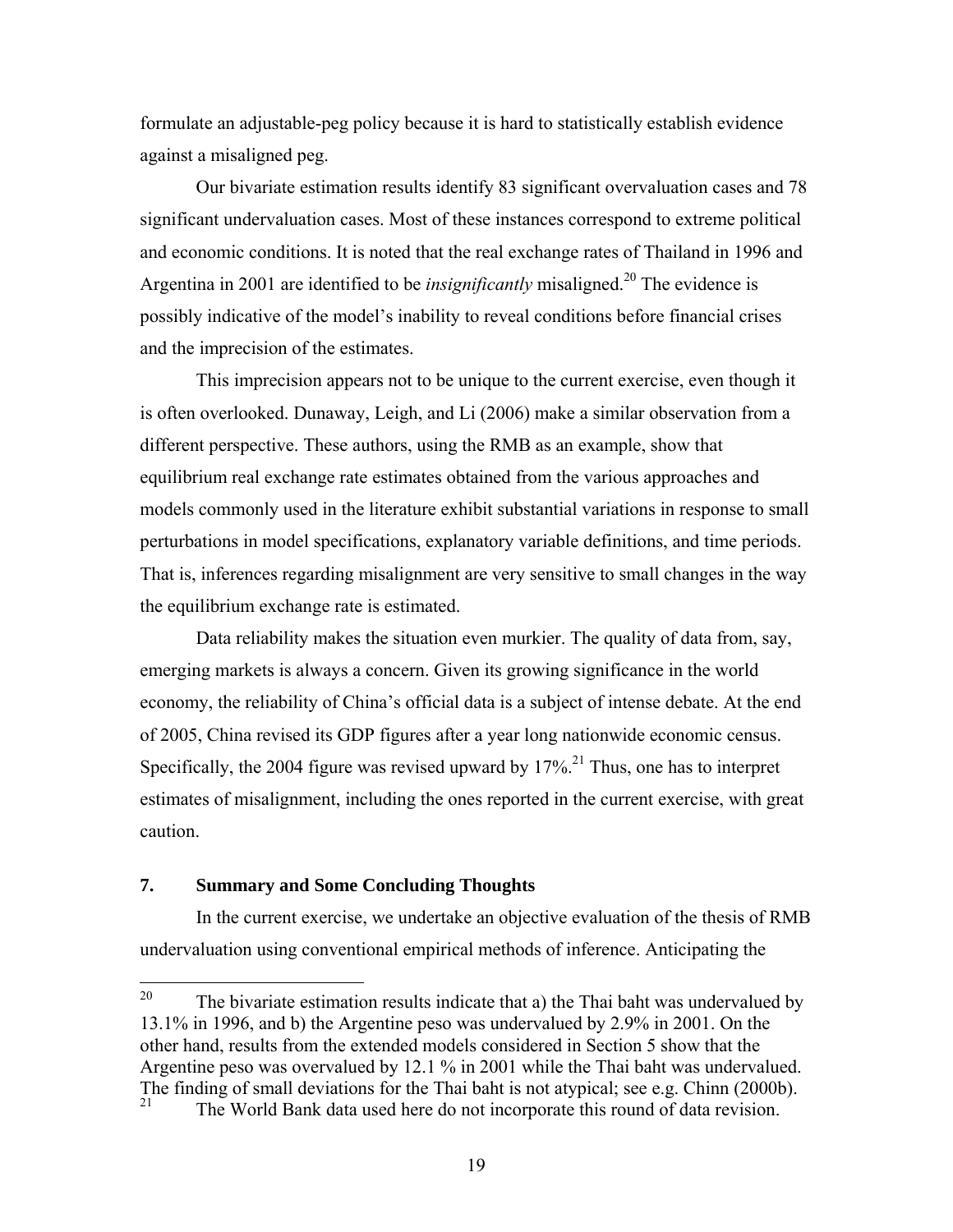formulate an adjustable-peg policy because it is hard to statistically establish evidence against a misaligned peg.

Our bivariate estimation results identify 83 significant overvaluation cases and 78 significant undervaluation cases. Most of these instances correspond to extreme political and economic conditions. It is noted that the real exchange rates of Thailand in 1996 and Argentina in 2001 are identified to be *insignificantly* misaligned.<sup>20</sup> The evidence is possibly indicative of the model's inability to reveal conditions before financial crises and the imprecision of the estimates.

This imprecision appears not to be unique to the current exercise, even though it is often overlooked. Dunaway, Leigh, and Li (2006) make a similar observation from a different perspective. These authors, using the RMB as an example, show that equilibrium real exchange rate estimates obtained from the various approaches and models commonly used in the literature exhibit substantial variations in response to small perturbations in model specifications, explanatory variable definitions, and time periods. That is, inferences regarding misalignment are very sensitive to small changes in the way the equilibrium exchange rate is estimated.

Data reliability makes the situation even murkier. The quality of data from, say, emerging markets is always a concern. Given its growing significance in the world economy, the reliability of China's official data is a subject of intense debate. At the end of 2005, China revised its GDP figures after a year long nationwide economic census. Specifically, the 2004 figure was revised upward by  $17\%$ <sup>21</sup>. Thus, one has to interpret estimates of misalignment, including the ones reported in the current exercise, with great caution.

# **7. Summary and Some Concluding Thoughts**

In the current exercise, we undertake an objective evaluation of the thesis of RMB undervaluation using conventional empirical methods of inference. Anticipating the

<sup>20</sup> The bivariate estimation results indicate that a) the Thai baht was undervalued by 13.1% in 1996, and b) the Argentine peso was undervalued by 2.9% in 2001. On the other hand, results from the extended models considered in Section 5 show that the Argentine peso was overvalued by 12.1 % in 2001 while the Thai baht was undervalued. The finding of small deviations for the Thai baht is not atypical; see e.g. Chinn (2000b).

The World Bank data used here do not incorporate this round of data revision.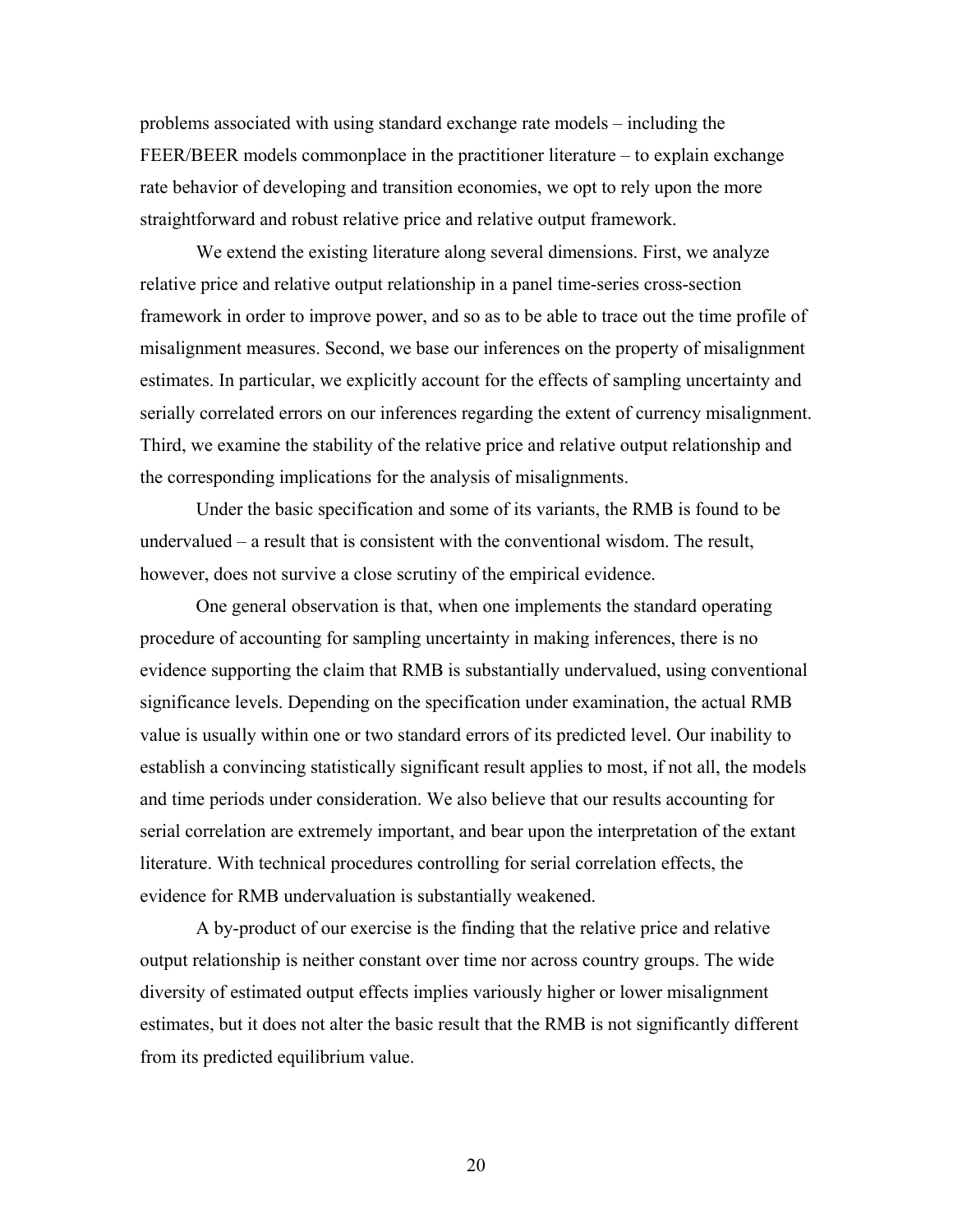problems associated with using standard exchange rate models – including the FEER/BEER models commonplace in the practitioner literature – to explain exchange rate behavior of developing and transition economies, we opt to rely upon the more straightforward and robust relative price and relative output framework.

We extend the existing literature along several dimensions. First, we analyze relative price and relative output relationship in a panel time-series cross-section framework in order to improve power, and so as to be able to trace out the time profile of misalignment measures. Second, we base our inferences on the property of misalignment estimates. In particular, we explicitly account for the effects of sampling uncertainty and serially correlated errors on our inferences regarding the extent of currency misalignment. Third, we examine the stability of the relative price and relative output relationship and the corresponding implications for the analysis of misalignments.

 Under the basic specification and some of its variants, the RMB is found to be undervalued – a result that is consistent with the conventional wisdom. The result, however, does not survive a close scrutiny of the empirical evidence.

One general observation is that, when one implements the standard operating procedure of accounting for sampling uncertainty in making inferences, there is no evidence supporting the claim that RMB is substantially undervalued, using conventional significance levels. Depending on the specification under examination, the actual RMB value is usually within one or two standard errors of its predicted level. Our inability to establish a convincing statistically significant result applies to most, if not all, the models and time periods under consideration. We also believe that our results accounting for serial correlation are extremely important, and bear upon the interpretation of the extant literature. With technical procedures controlling for serial correlation effects, the evidence for RMB undervaluation is substantially weakened.

A by-product of our exercise is the finding that the relative price and relative output relationship is neither constant over time nor across country groups. The wide diversity of estimated output effects implies variously higher or lower misalignment estimates, but it does not alter the basic result that the RMB is not significantly different from its predicted equilibrium value.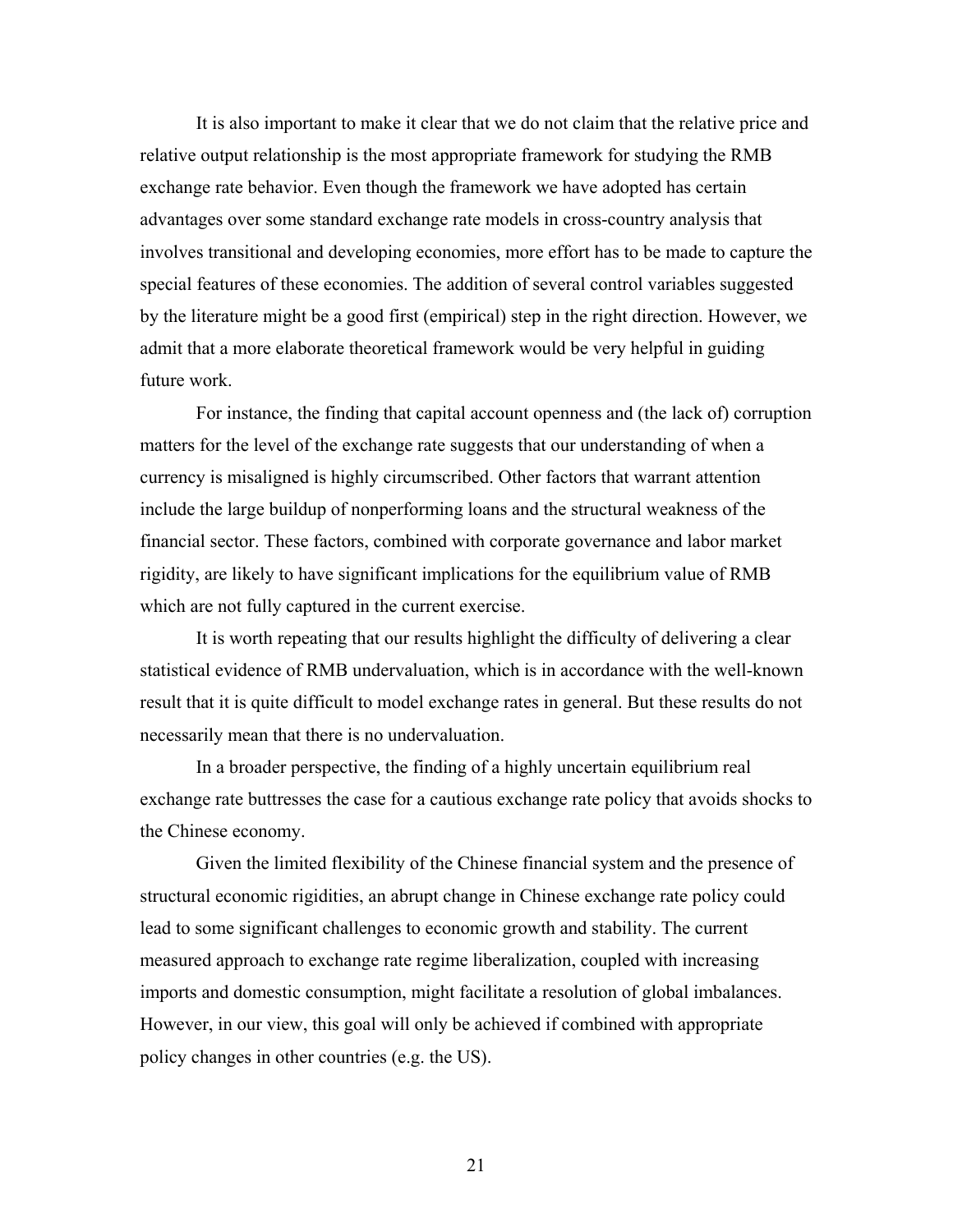It is also important to make it clear that we do not claim that the relative price and relative output relationship is the most appropriate framework for studying the RMB exchange rate behavior. Even though the framework we have adopted has certain advantages over some standard exchange rate models in cross-country analysis that involves transitional and developing economies, more effort has to be made to capture the special features of these economies. The addition of several control variables suggested by the literature might be a good first (empirical) step in the right direction. However, we admit that a more elaborate theoretical framework would be very helpful in guiding future work.

 For instance, the finding that capital account openness and (the lack of) corruption matters for the level of the exchange rate suggests that our understanding of when a currency is misaligned is highly circumscribed. Other factors that warrant attention include the large buildup of nonperforming loans and the structural weakness of the financial sector. These factors, combined with corporate governance and labor market rigidity, are likely to have significant implications for the equilibrium value of RMB which are not fully captured in the current exercise.

It is worth repeating that our results highlight the difficulty of delivering a clear statistical evidence of RMB undervaluation, which is in accordance with the well-known result that it is quite difficult to model exchange rates in general. But these results do not necessarily mean that there is no undervaluation.

In a broader perspective, the finding of a highly uncertain equilibrium real exchange rate buttresses the case for a cautious exchange rate policy that avoids shocks to the Chinese economy.

Given the limited flexibility of the Chinese financial system and the presence of structural economic rigidities, an abrupt change in Chinese exchange rate policy could lead to some significant challenges to economic growth and stability. The current measured approach to exchange rate regime liberalization, coupled with increasing imports and domestic consumption, might facilitate a resolution of global imbalances. However, in our view, this goal will only be achieved if combined with appropriate policy changes in other countries (e.g. the US).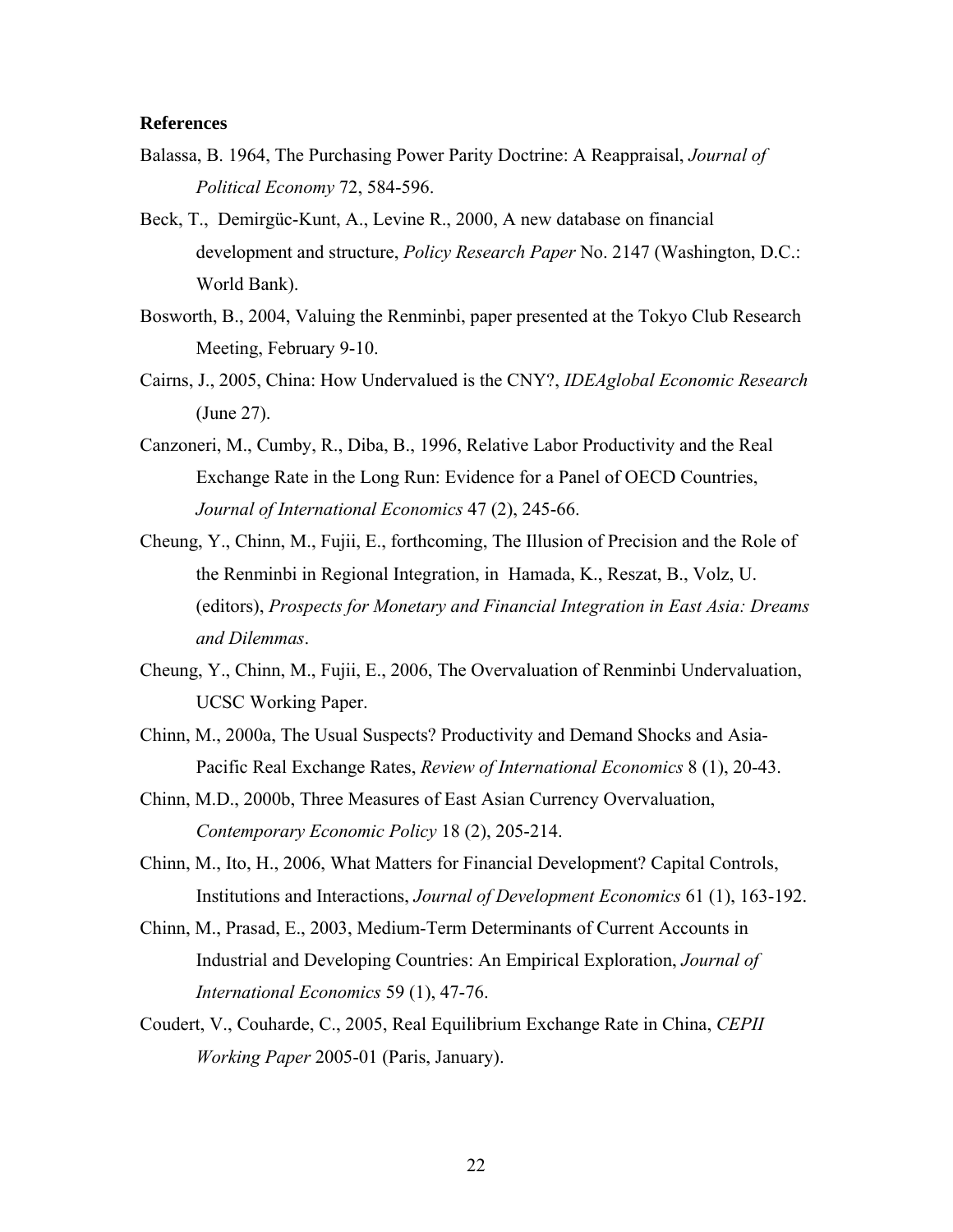#### **References**

- Balassa, B. 1964, The Purchasing Power Parity Doctrine: A Reappraisal, *Journal of Political Economy* 72, 584-596.
- Beck, T., Demirgüc-Kunt, A., Levine R., 2000, A new database on financial development and structure, *Policy Research Paper* No. 2147 (Washington, D.C.: World Bank).
- Bosworth, B., 2004, Valuing the Renminbi, paper presented at the Tokyo Club Research Meeting, February 9-10.
- Cairns, J., 2005, China: How Undervalued is the CNY?, *IDEAglobal Economic Research* (June 27).
- Canzoneri, M., Cumby, R., Diba, B., 1996, Relative Labor Productivity and the Real Exchange Rate in the Long Run: Evidence for a Panel of OECD Countries, *Journal of International Economics* 47 (2), 245-66.
- Cheung, Y., Chinn, M., Fujii, E., forthcoming, The Illusion of Precision and the Role of the Renminbi in Regional Integration, in Hamada, K., Reszat, B., Volz, U. (editors), *Prospects for Monetary and Financial Integration in East Asia: Dreams and Dilemmas*.
- Cheung, Y., Chinn, M., Fujii, E., 2006, The Overvaluation of Renminbi Undervaluation, UCSC Working Paper.
- Chinn, M., 2000a, The Usual Suspects? Productivity and Demand Shocks and Asia-Pacific Real Exchange Rates, *Review of International Economics* 8 (1), 20-43.
- Chinn, M.D., 2000b, Three Measures of East Asian Currency Overvaluation, *Contemporary Economic Policy* 18 (2), 205-214.
- Chinn, M., Ito, H., 2006, What Matters for Financial Development? Capital Controls, Institutions and Interactions, *Journal of Development Economics* 61 (1), 163-192.
- Chinn, M., Prasad, E., 2003, Medium-Term Determinants of Current Accounts in Industrial and Developing Countries: An Empirical Exploration, *Journal of International Economics* 59 (1), 47-76.
- Coudert, V., Couharde, C., 2005, Real Equilibrium Exchange Rate in China, *CEPII Working Paper* 2005-01 (Paris, January).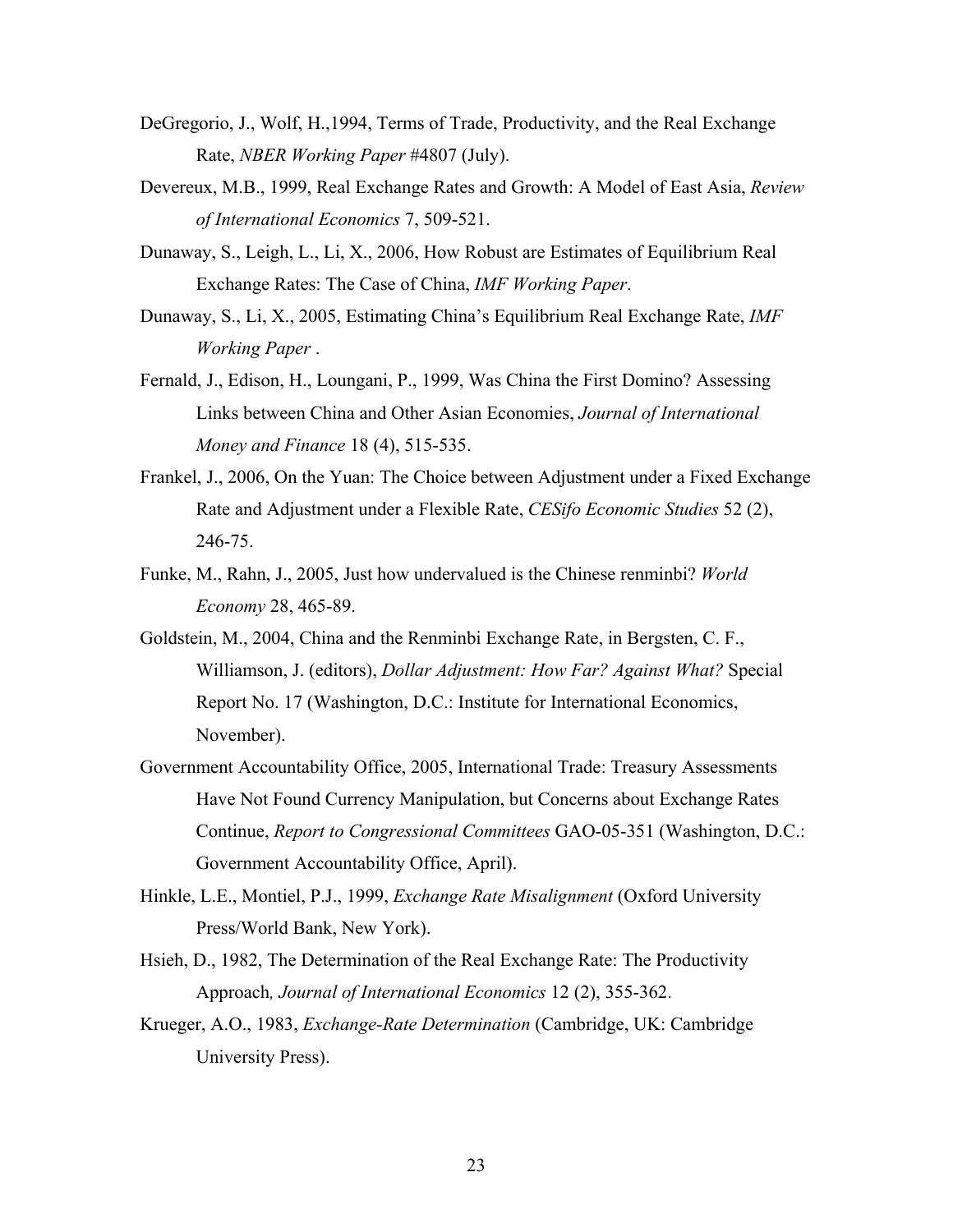- DeGregorio, J., Wolf, H.,1994, Terms of Trade, Productivity, and the Real Exchange Rate, *NBER Working Paper* #4807 (July).
- Devereux, M.B., 1999, Real Exchange Rates and Growth: A Model of East Asia, *Review of International Economics* 7, 509-521.
- Dunaway, S., Leigh, L., Li, X., 2006, How Robust are Estimates of Equilibrium Real Exchange Rates: The Case of China, *IMF Working Paper*.
- Dunaway, S., Li, X., 2005, Estimating China's Equilibrium Real Exchange Rate, *IMF Working Paper* .
- Fernald, J., Edison, H., Loungani, P., 1999, Was China the First Domino? Assessing Links between China and Other Asian Economies, *Journal of International Money and Finance* 18 (4), 515-535.
- Frankel, J., 2006, On the Yuan: The Choice between Adjustment under a Fixed Exchange Rate and Adjustment under a Flexible Rate, *CESifo Economic Studies* 52 (2), 246-75.
- Funke, M., Rahn, J., 2005, Just how undervalued is the Chinese renminbi? *World Economy* 28, 465-89.
- Goldstein, M., 2004, China and the Renminbi Exchange Rate, in Bergsten, C. F., Williamson, J. (editors), *Dollar Adjustment: How Far? Against What?* Special Report No. 17 (Washington, D.C.: Institute for International Economics, November).
- Government Accountability Office, 2005, International Trade: Treasury Assessments Have Not Found Currency Manipulation, but Concerns about Exchange Rates Continue, *Report to Congressional Committees* GAO-05-351 (Washington, D.C.: Government Accountability Office, April).
- Hinkle, L.E., Montiel, P.J., 1999, *Exchange Rate Misalignment* (Oxford University Press/World Bank, New York).
- Hsieh, D., 1982, The Determination of the Real Exchange Rate: The Productivity Approach*, Journal of International Economics* 12 (2), 355-362.
- Krueger, A.O., 1983, *Exchange-Rate Determination* (Cambridge, UK: Cambridge University Press).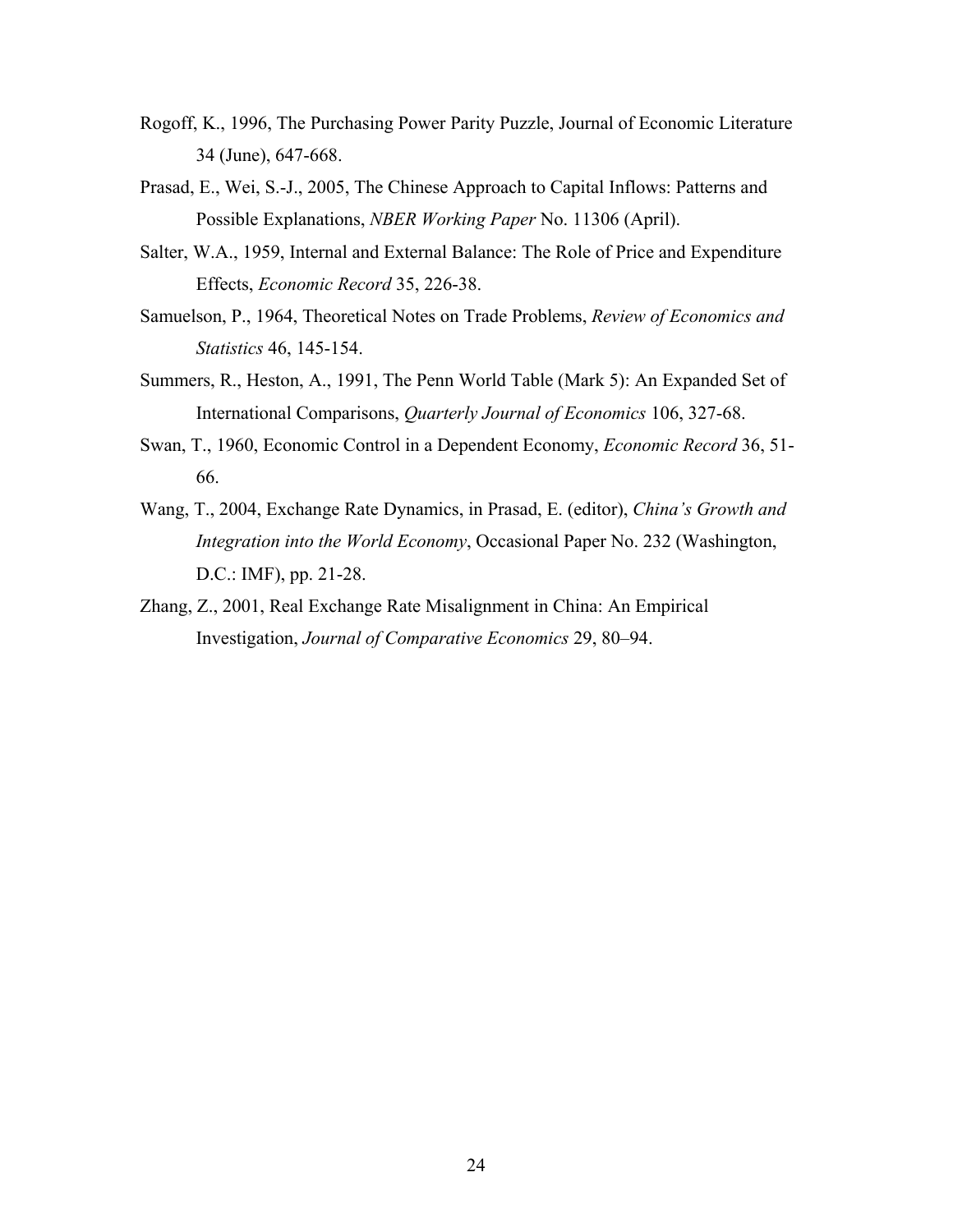- Rogoff, K., 1996, The Purchasing Power Parity Puzzle, Journal of Economic Literature 34 (June), 647-668.
- Prasad, E., Wei, S.-J., 2005, The Chinese Approach to Capital Inflows: Patterns and Possible Explanations, *NBER Working Paper* No. 11306 (April).
- Salter, W.A., 1959, Internal and External Balance: The Role of Price and Expenditure Effects, *Economic Record* 35, 226-38.
- Samuelson, P., 1964, Theoretical Notes on Trade Problems, *Review of Economics and Statistics* 46, 145-154.
- Summers, R., Heston, A., 1991, The Penn World Table (Mark 5): An Expanded Set of International Comparisons, *Quarterly Journal of Economics* 106, 327-68.
- Swan, T., 1960, Economic Control in a Dependent Economy, *Economic Record* 36, 51- 66.
- Wang, T., 2004, Exchange Rate Dynamics, in Prasad, E. (editor), *China's Growth and Integration into the World Economy*, Occasional Paper No. 232 (Washington, D.C.: IMF), pp. 21-28.
- Zhang, Z., 2001, Real Exchange Rate Misalignment in China: An Empirical Investigation, *Journal of Comparative Economics* 29, 80–94.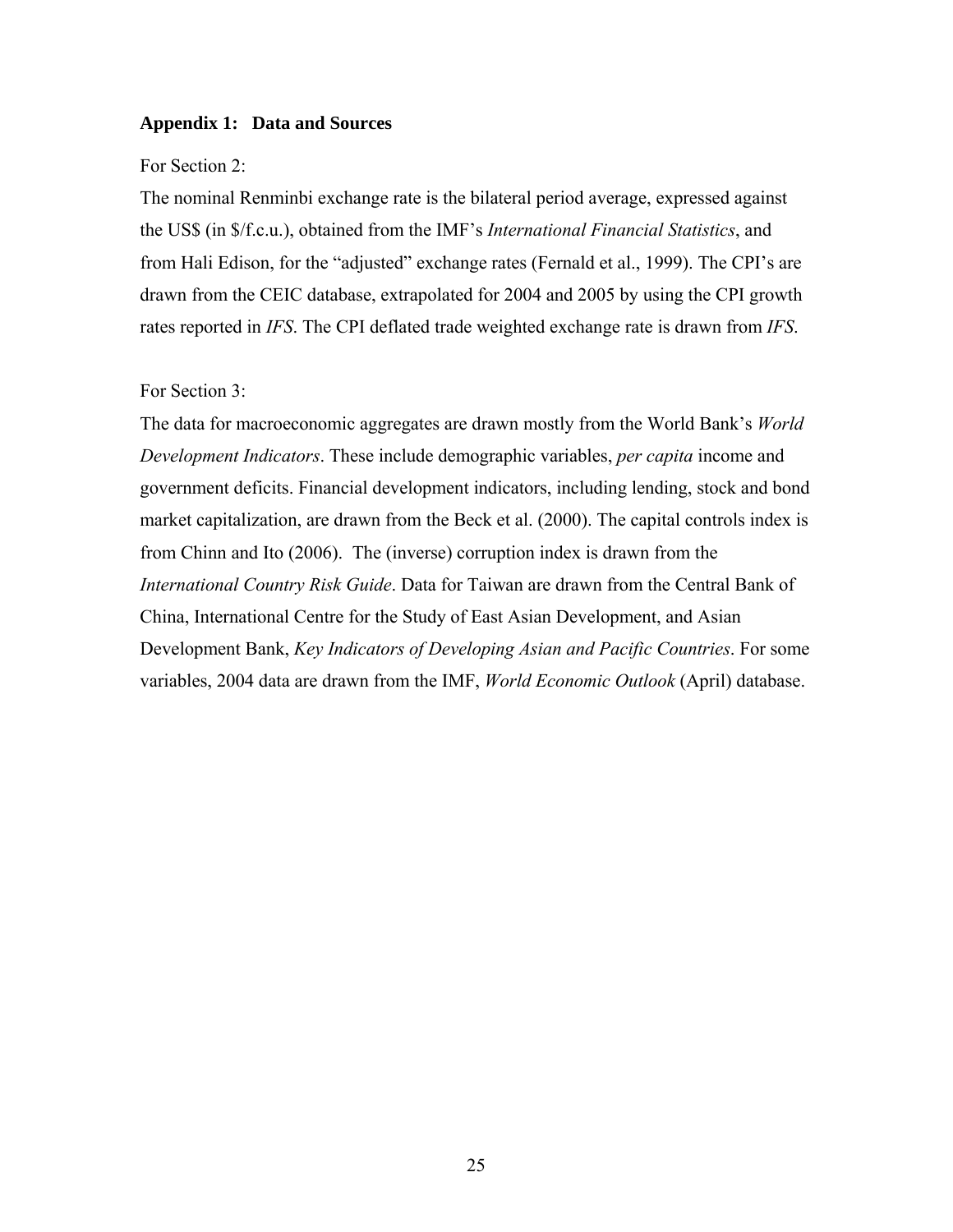#### **Appendix 1: Data and Sources**

### For Section 2:

The nominal Renminbi exchange rate is the bilateral period average, expressed against the US\$ (in \$/f.c.u.), obtained from the IMF's *International Financial Statistics*, and from Hali Edison, for the "adjusted" exchange rates (Fernald et al., 1999). The CPI's are drawn from the CEIC database, extrapolated for 2004 and 2005 by using the CPI growth rates reported in *IFS*. The CPI deflated trade weighted exchange rate is drawn from *IFS*.

#### For Section 3:

The data for macroeconomic aggregates are drawn mostly from the World Bank's *World Development Indicators*. These include demographic variables, *per capita* income and government deficits. Financial development indicators, including lending, stock and bond market capitalization, are drawn from the Beck et al. (2000). The capital controls index is from Chinn and Ito (2006). The (inverse) corruption index is drawn from the *International Country Risk Guide*. Data for Taiwan are drawn from the Central Bank of China, International Centre for the Study of East Asian Development, and Asian Development Bank, *Key Indicators of Developing Asian and Pacific Countries*. For some variables, 2004 data are drawn from the IMF, *World Economic Outlook* (April) database.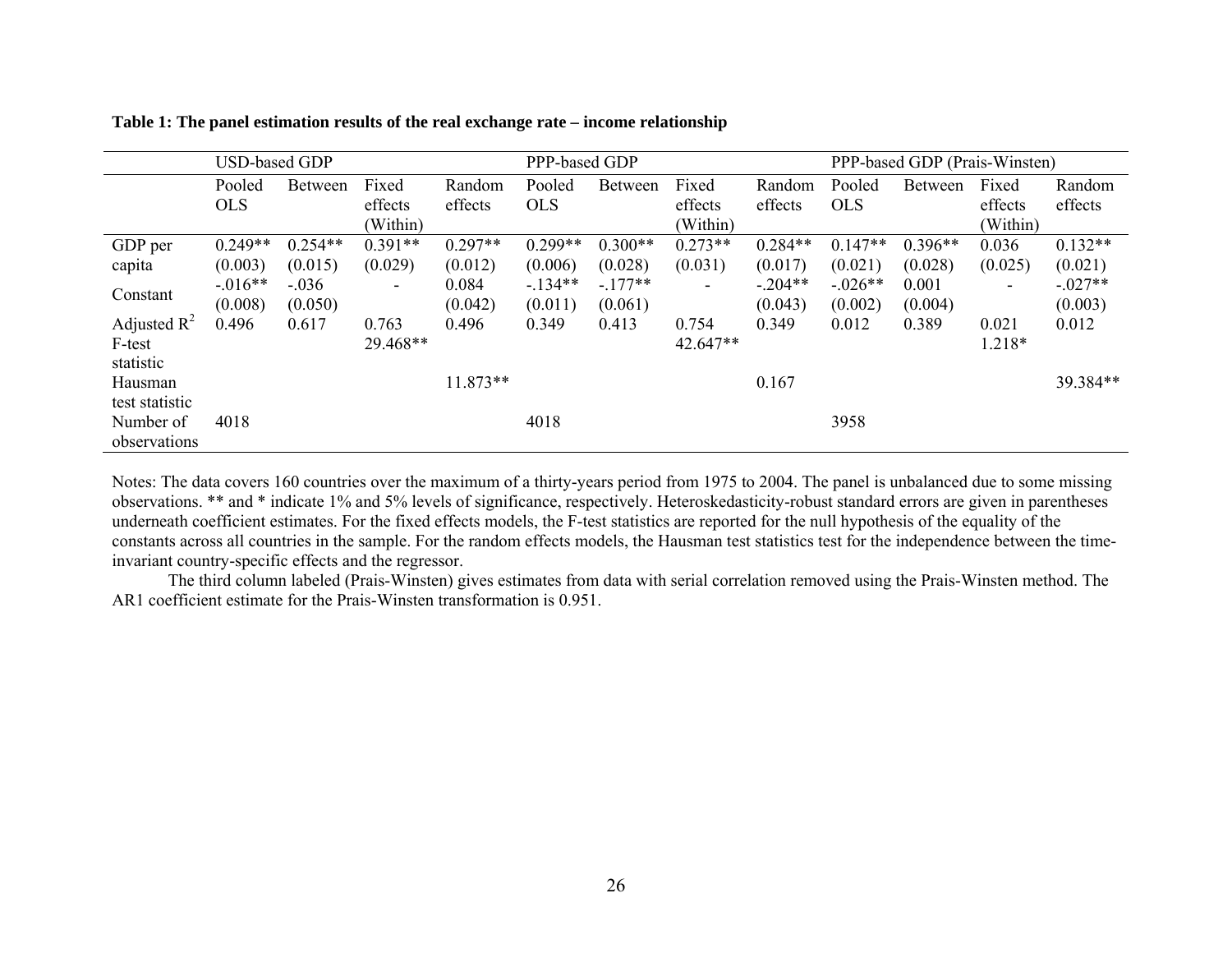|                | <b>USD-based GDP</b> |                |                          |            | PPP-based GDP |                |                              |           | PPP-based GDP (Prais-Winsten) |                |          |           |
|----------------|----------------------|----------------|--------------------------|------------|---------------|----------------|------------------------------|-----------|-------------------------------|----------------|----------|-----------|
|                | Pooled               | <b>Between</b> | Fixed                    | Random     | Pooled        | <b>Between</b> | Fixed                        | Random    | Pooled                        | <b>Between</b> | Fixed    | Random    |
|                | <b>OLS</b>           |                | effects                  | effects    | <b>OLS</b>    |                | effects                      | effects   | <b>OLS</b>                    |                | effects  | effects   |
|                |                      |                | (Within)                 |            |               |                | (Within)                     |           |                               |                | (Within) |           |
| GDP per        | $0.249**$            | $0.254**$      | $0.391**$                | $0.297**$  | $0.299**$     | $0.300**$      | $0.273**$                    | $0.284**$ | $0.147**$                     | $0.396**$      | 0.036    | $0.132**$ |
| capita         | (0.003)              | (0.015)        | (0.029)                  | (0.012)    | (0.006)       | (0.028)        | (0.031)                      | (0.017)   | (0.021)                       | (0.028)        | (0.025)  | (0.021)   |
|                | $-.016**$            | $-.036$        | $\overline{\phantom{a}}$ | 0.084      | $-134**$      | $-.177**$      | $\qquad \qquad \blacksquare$ | $-.204**$ | $-.026**$                     | 0.001          | ۰.       | $-.027**$ |
| Constant       | (0.008)              | (0.050)        |                          | (0.042)    | (0.011)       | (0.061)        |                              | (0.043)   | (0.002)                       | (0.004)        |          | (0.003)   |
| Adjusted $R^2$ | 0.496                | 0.617          | 0.763                    | 0.496      | 0.349         | 0.413          | 0.754                        | 0.349     | 0.012                         | 0.389          | 0.021    | 0.012     |
| F-test         |                      |                | 29.468**                 |            |               |                | 42.647**                     |           |                               |                | 1.218*   |           |
| statistic      |                      |                |                          |            |               |                |                              |           |                               |                |          |           |
| Hausman        |                      |                |                          | $11.873**$ |               |                |                              | 0.167     |                               |                |          | 39.384**  |
| test statistic |                      |                |                          |            |               |                |                              |           |                               |                |          |           |
| Number of      | 4018                 |                |                          |            | 4018          |                |                              |           | 3958                          |                |          |           |
| observations   |                      |                |                          |            |               |                |                              |           |                               |                |          |           |

**Table 1: The panel estimation results of the real exchange rate – income relationship** 

Notes: The data covers 160 countries over the maximum of a thirty-years period from 1975 to 2004. The panel is unbalanced due to some missing observations. \*\* and \* indicate 1% and 5% levels of significance, respectively. Heteroskedasticity-robust standard errors are given in parentheses underneath coefficient estimates. For the fixed effects models, the F-test statistics are reported for the null hypothesis of the equality of the constants across all countries in the sample. For the random effects models, the Hausman test statistics test for the independence between the timeinvariant country-specific effects and the regressor.

The third column labeled (Prais-Winsten) gives estimates from data with serial correlation removed using the Prais-Winsten method. The AR1 coefficient estimate for the Prais-Winsten transformation is 0.951.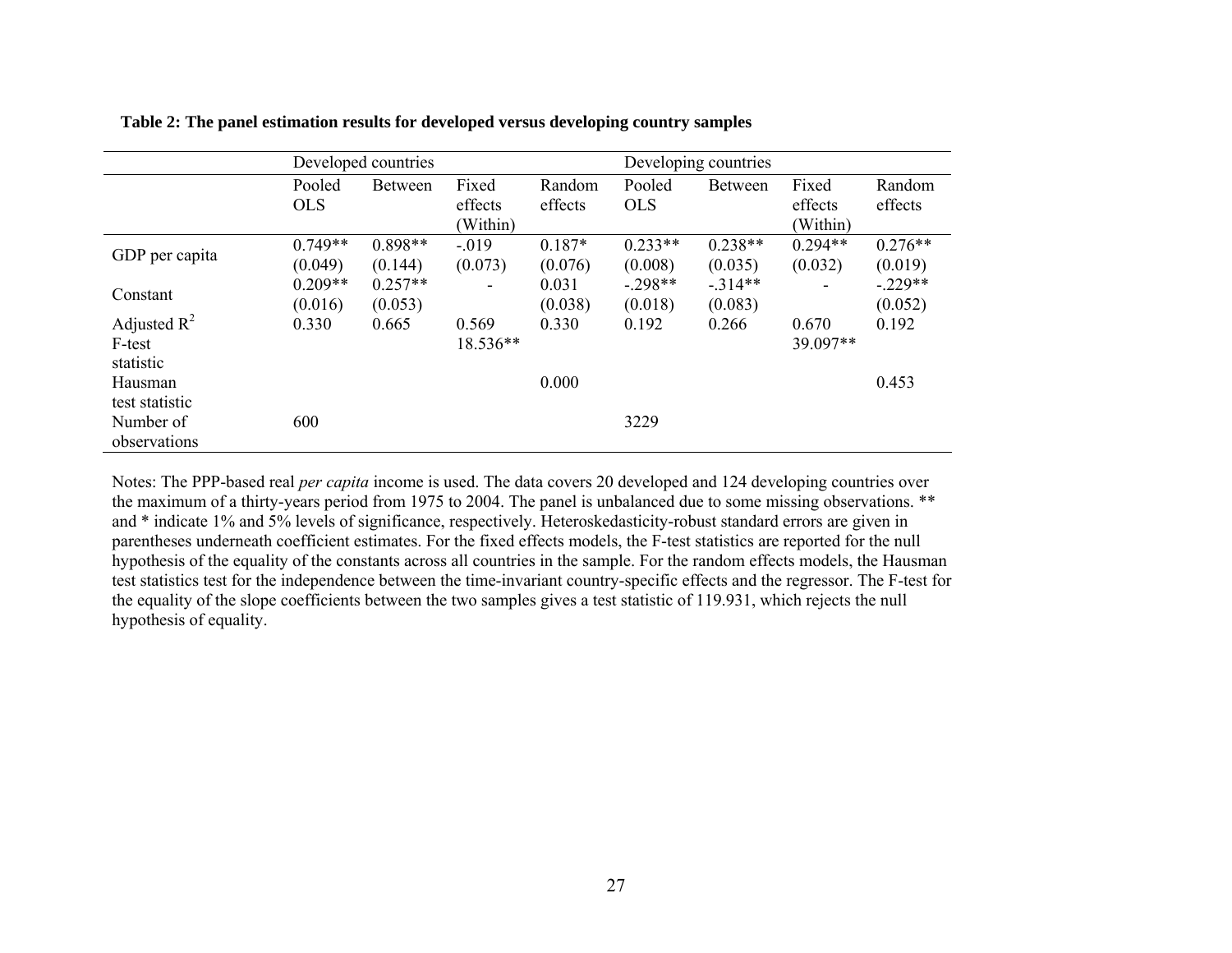|                |            | Developed countries |                          |          | Developing countries |                |           |           |  |
|----------------|------------|---------------------|--------------------------|----------|----------------------|----------------|-----------|-----------|--|
|                | Pooled     | <b>Between</b>      | Fixed                    | Random   | Pooled               | <b>Between</b> | Fixed     | Random    |  |
|                | <b>OLS</b> |                     | effects                  | effects  | <b>OLS</b>           |                | effects   | effects   |  |
|                |            |                     | (Within)                 |          |                      |                | (Within)  |           |  |
|                | $0.749**$  | $0.898**$           | $-.019$                  | $0.187*$ | $0.233**$            | $0.238**$      | $0.294**$ | $0.276**$ |  |
| GDP per capita | (0.049)    | (0.144)             | (0.073)                  | (0.076)  | (0.008)              | (0.035)        | (0.032)   | (0.019)   |  |
|                | $0.209**$  | $0.257**$           | $\overline{\phantom{0}}$ | 0.031    | $-.298**$            | $-314**$       |           | $-.229**$ |  |
| Constant       | (0.016)    | (0.053)             |                          | (0.038)  | (0.018)              | (0.083)        |           | (0.052)   |  |
| Adjusted $R^2$ | 0.330      | 0.665               | 0.569                    | 0.330    | 0.192                | 0.266          | 0.670     | 0.192     |  |
| F-test         |            |                     | 18.536**                 |          |                      |                | 39.097**  |           |  |
| statistic      |            |                     |                          |          |                      |                |           |           |  |
| Hausman        |            |                     |                          | 0.000    |                      |                |           | 0.453     |  |
| test statistic |            |                     |                          |          |                      |                |           |           |  |
| Number of      | 600        |                     |                          |          | 3229                 |                |           |           |  |
| observations   |            |                     |                          |          |                      |                |           |           |  |

 **Table 2: The panel estimation results for developed versus developing country samples** 

Notes: The PPP-based real *per capita* income is used. The data covers 20 developed and 124 developing countries over the maximum of a thirty-years period from 1975 to 2004. The panel is unbalanced due to some missing observations. \*\* and \* indicate 1% and 5% levels of significance, respectively. Heteroskedasticity-robust standard errors are given in parentheses underneath coefficient estimates. For the fixed effects models, the F-test statistics are reported for the null hypothesis of the equality of the constants across all countries in the sample. For the random effects models, the Hausman test statistics test for the independence between the time-invariant country-specific effects and the regressor. The F-test for the equality of the slope coefficients between the two samples gives a test statistic of 119.931, which rejects the null hypothesis of equality.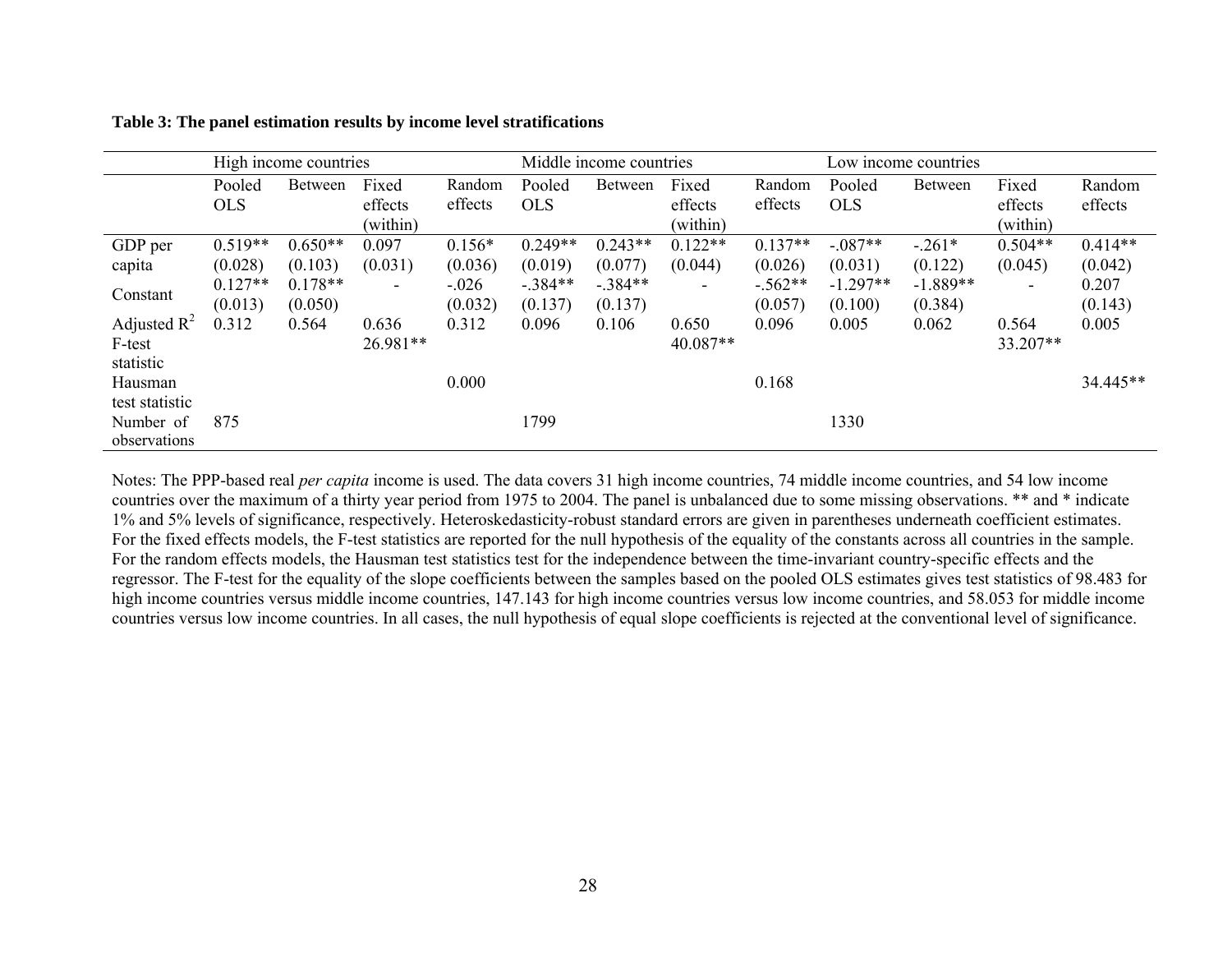|                | High income countries |           |                          |          | Middle income countries |           |                          |           | Low income countries |                |           |           |
|----------------|-----------------------|-----------|--------------------------|----------|-------------------------|-----------|--------------------------|-----------|----------------------|----------------|-----------|-----------|
|                | Pooled                | Between   | Fixed                    | Random   | Pooled                  | Between   | Fixed                    | Random    | Pooled               | <b>Between</b> | Fixed     | Random    |
|                | <b>OLS</b>            |           | effects                  | effects  | <b>OLS</b>              |           | effects                  | effects   | <b>OLS</b>           |                | effects   | effects   |
|                |                       |           | (within)                 |          |                         |           | (within)                 |           |                      |                | (within)  |           |
| GDP per        | $0.519**$             | $0.650**$ | 0.097                    | $0.156*$ | $0.249**$               | $0.243**$ | $0.122**$                | $0.137**$ | $-.087**$            | $-.261*$       | $0.504**$ | $0.414**$ |
| capita         | (0.028)               | (0.103)   | (0.031)                  | (0.036)  | (0.019)                 | (0.077)   | (0.044)                  | (0.026)   | (0.031)              | (0.122)        | (0.045)   | (0.042)   |
| Constant       | $0.127**$             | $0.178**$ | $\overline{\phantom{a}}$ | $-.026$  | $-.384**$               | $-.384**$ | $\overline{\phantom{a}}$ | $-.562**$ | $-1.297**$           | $-1.889**$     | $\sim$    | 0.207     |
|                | (0.013)               | (0.050)   |                          | (0.032)  | (0.137)                 | (0.137)   |                          | (0.057)   | (0.100)              | (0.384)        |           | (0.143)   |
| Adjusted $R^2$ | 0.312                 | 0.564     | 0.636                    | 0.312    | 0.096                   | 0.106     | 0.650                    | 0.096     | 0.005                | 0.062          | 0.564     | 0.005     |
| F-test         |                       |           | 26.981**                 |          |                         |           | 40.087**                 |           |                      |                | 33.207**  |           |
| statistic      |                       |           |                          |          |                         |           |                          |           |                      |                |           |           |
| Hausman        |                       |           |                          | 0.000    |                         |           |                          | 0.168     |                      |                |           | 34.445**  |
| test statistic |                       |           |                          |          |                         |           |                          |           |                      |                |           |           |
| Number of      | 875                   |           |                          |          | 1799                    |           |                          |           | 1330                 |                |           |           |
| observations   |                       |           |                          |          |                         |           |                          |           |                      |                |           |           |

**Table 3: The panel estimation results by income level stratifications** 

Notes: The PPP-based real *per capita* income is used. The data covers 31 high income countries, 74 middle income countries, and 54 low income countries over the maximum of a thirty year period from 1975 to 2004. The panel is unbalanced due to some missing observations. \*\* and \* indicate 1% and 5% levels of significance, respectively. Heteroskedasticity-robust standard errors are given in parentheses underneath coefficient estimates. For the fixed effects models, the F-test statistics are reported for the null hypothesis of the equality of the constants across all countries in the sample. For the random effects models, the Hausman test statistics test for the independence between the time-invariant country-specific effects and the regressor. The F-test for the equality of the slope coefficients between the samples based on the pooled OLS estimates gives test statistics of 98.483 for high income countries versus middle income countries, 147.143 for high income countries versus low income countries, and 58.053 for middle income countries versus low income countries. In all cases, the null hypothesis of equal slope coefficients is rejected at the conventional level of significance.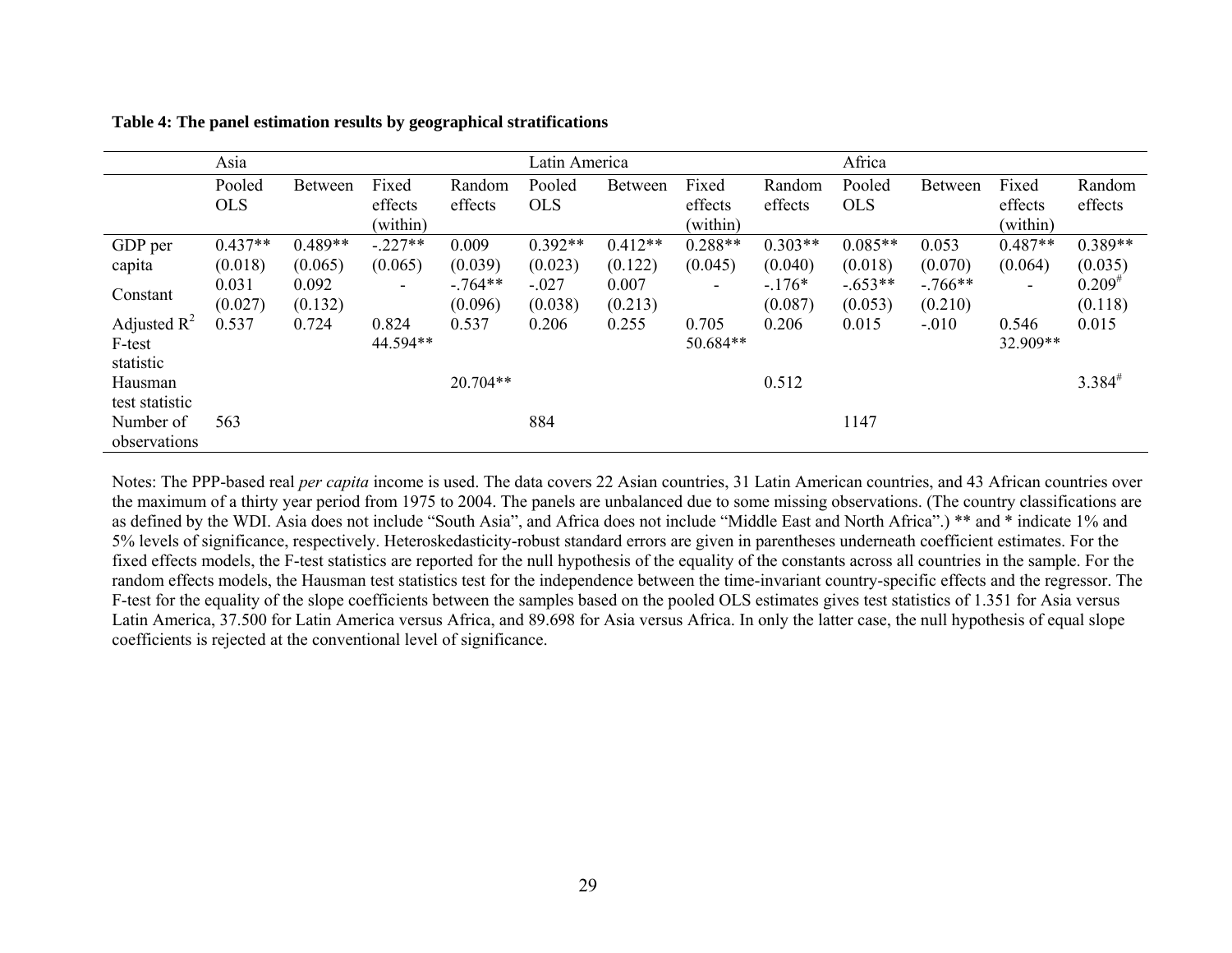|                | Asia       |                |                          |            | Latin America |                |                |           | Africa     |                |                          |             |
|----------------|------------|----------------|--------------------------|------------|---------------|----------------|----------------|-----------|------------|----------------|--------------------------|-------------|
|                | Pooled     | <b>Between</b> | Fixed                    | Random     | Pooled        | <b>Between</b> | Fixed          | Random    | Pooled     | <b>Between</b> | Fixed                    | Random      |
|                | <b>OLS</b> |                | effects                  | effects    | <b>OLS</b>    |                | effects        | effects   | <b>OLS</b> |                | effects                  | effects     |
|                |            |                | (within)                 |            |               |                | (within)       |           |            |                | (within)                 |             |
| GDP per        | $0.437**$  | $0.489**$      | $-.227**$                | 0.009      | $0.392**$     | $0.412**$      | $0.288**$      | $0.303**$ | $0.085**$  | 0.053          | $0.487**$                | $0.389**$   |
| capita         | (0.018)    | (0.065)        | (0.065)                  | (0.039)    | (0.023)       | (0.122)        | (0.045)        | (0.040)   | (0.018)    | (0.070)        | (0.064)                  | (0.035)     |
| Constant       | 0.031      | 0.092          | $\overline{\phantom{a}}$ | $-.764**$  | $-.027$       | 0.007          | $\blacksquare$ | $-176*$   | $-.653**$  | $-766**$       | $\overline{\phantom{a}}$ | $0.209^{*}$ |
|                | (0.027)    | (0.132)        |                          | (0.096)    | (0.038)       | (0.213)        |                | (0.087)   | (0.053)    | (0.210)        |                          | (0.118)     |
| Adjusted $R^2$ | 0.537      | 0.724          | 0.824                    | 0.537      | 0.206         | 0.255          | 0.705          | 0.206     | 0.015      | $-.010$        | 0.546                    | 0.015       |
| F-test         |            |                | 44.594**                 |            |               |                | 50.684**       |           |            |                | 32.909**                 |             |
| statistic      |            |                |                          |            |               |                |                |           |            |                |                          |             |
| Hausman        |            |                |                          | $20.704**$ |               |                |                | 0.512     |            |                |                          | $3.384^{#}$ |
| test statistic |            |                |                          |            |               |                |                |           |            |                |                          |             |
| Number of      | 563        |                |                          |            | 884           |                |                |           | 1147       |                |                          |             |
| observations   |            |                |                          |            |               |                |                |           |            |                |                          |             |

**Table 4: The panel estimation results by geographical stratifications** 

Notes: The PPP-based real *per capita* income is used. The data covers 22 Asian countries, 31 Latin American countries, and 43 African countries over the maximum of a thirty year period from 1975 to 2004. The panels are unbalanced due to some missing observations. (The country classifications are as defined by the WDI. Asia does not include "South Asia", and Africa does not include "Middle East and North Africa".) \*\* and \* indicate 1% and 5% levels of significance, respectively. Heteroskedasticity-robust standard errors are given in parentheses underneath coefficient estimates. For the fixed effects models, the F-test statistics are reported for the null hypothesis of the equality of the constants across all countries in the sample. For the random effects models, the Hausman test statistics test for the independence between the time-invariant country-specific effects and the regressor. The F-test for the equality of the slope coefficients between the samples based on the pooled OLS estimates gives test statistics of 1.351 for Asia versus Latin America, 37.500 for Latin America versus Africa, and 89.698 for Asia versus Africa. In only the latter case, the null hypothesis of equal slope coefficients is rejected at the conventional level of significance.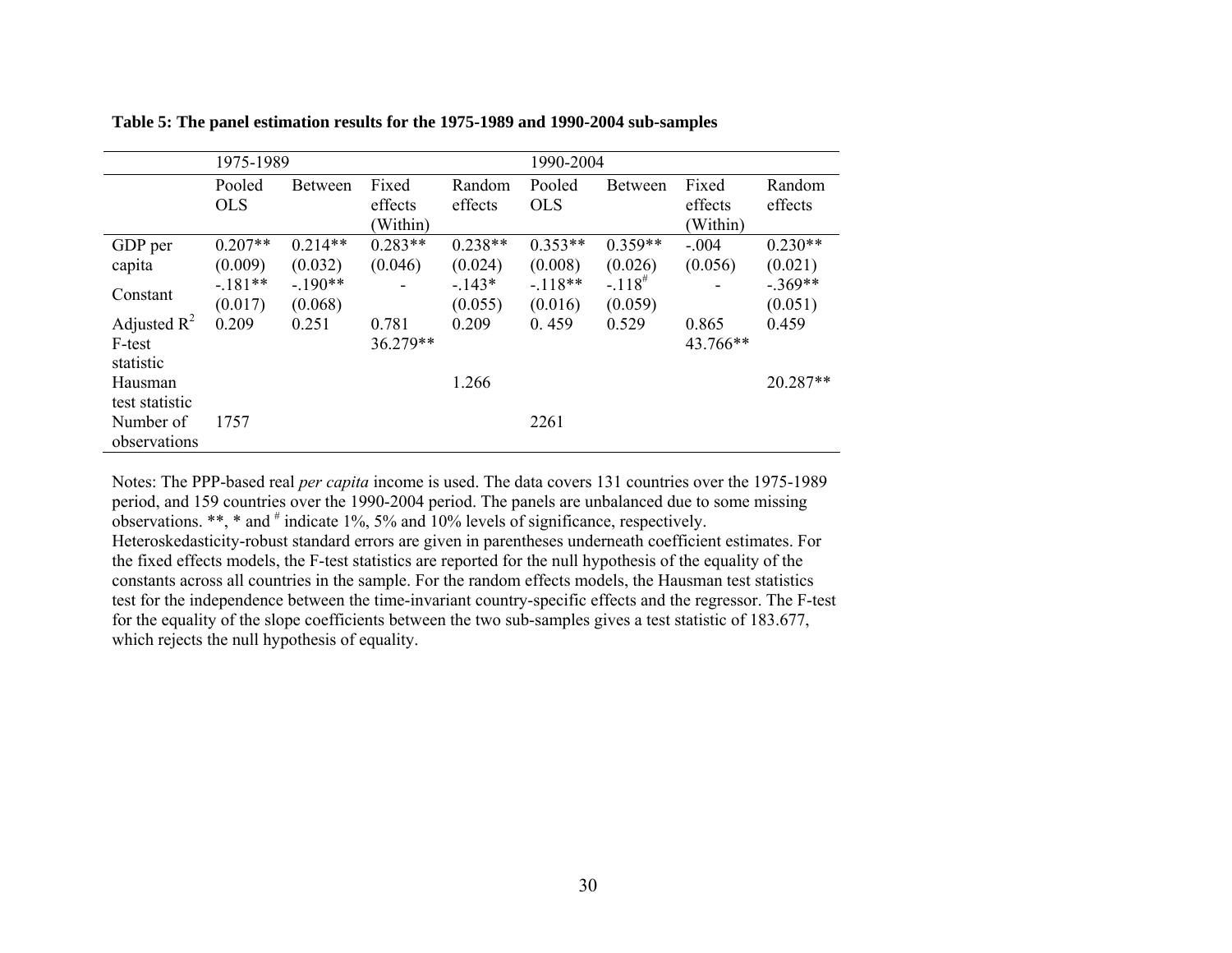|                | 1975-1989  |                |           |           | 1990-2004  |                      |          |           |  |
|----------------|------------|----------------|-----------|-----------|------------|----------------------|----------|-----------|--|
|                | Pooled     | <b>Between</b> | Fixed     | Random    | Pooled     | <b>Between</b>       | Fixed    | Random    |  |
|                | <b>OLS</b> |                | effects   | effects   | <b>OLS</b> |                      | effects  | effects   |  |
|                |            |                | (Within)  |           |            |                      | (Within) |           |  |
| GDP per        | $0.207**$  | $0.214**$      | $0.283**$ | $0.238**$ | $0.353**$  | $0.359**$            | $-.004$  | $0.230**$ |  |
| capita         | (0.009)    | (0.032)        | (0.046)   | (0.024)   | (0.008)    | (0.026)              | (0.056)  | (0.021)   |  |
|                | $-.181**$  | $-190**$       |           | $-143*$   | $-118**$   | $-.118$ <sup>#</sup> |          | $-.369**$ |  |
| Constant       | (0.017)    | (0.068)        |           | (0.055)   | (0.016)    | (0.059)              |          | (0.051)   |  |
| Adjusted $R^2$ | 0.209      | 0.251          | 0.781     | 0.209     | 0.459      | 0.529                | 0.865    | 0.459     |  |
| F-test         |            |                | 36.279**  |           |            |                      | 43.766** |           |  |
| statistic      |            |                |           |           |            |                      |          |           |  |
| Hausman        |            |                |           | 1.266     |            |                      |          | 20.287**  |  |
| test statistic |            |                |           |           |            |                      |          |           |  |
| Number of      | 1757       |                |           |           | 2261       |                      |          |           |  |
| observations   |            |                |           |           |            |                      |          |           |  |

**Table 5: The panel estimation results for the 1975-1989 and 1990-2004 sub-samples** 

Notes: The PPP-based real *per capita* income is used. The data covers 131 countries over the 1975-1989 period, and 159 countries over the 1990-2004 period. The panels are unbalanced due to some missing observations. \*\*, \* and  $#$  indicate 1%, 5% and 10% levels of significance, respectively. Heteroskedasticity-robust standard errors are given in parentheses underneath coefficient estimates. For the fixed effects models, the F-test statistics are reported for the null hypothesis of the equality of the constants across all countries in the sample. For the random effects models, the Hausman test statistics test for the independence between the time-invariant country-specific effects and the regressor. The F-test for the equality of the slope coefficients between the two sub-samples gives a test statistic of 183.677, which rejects the null hypothesis of equality.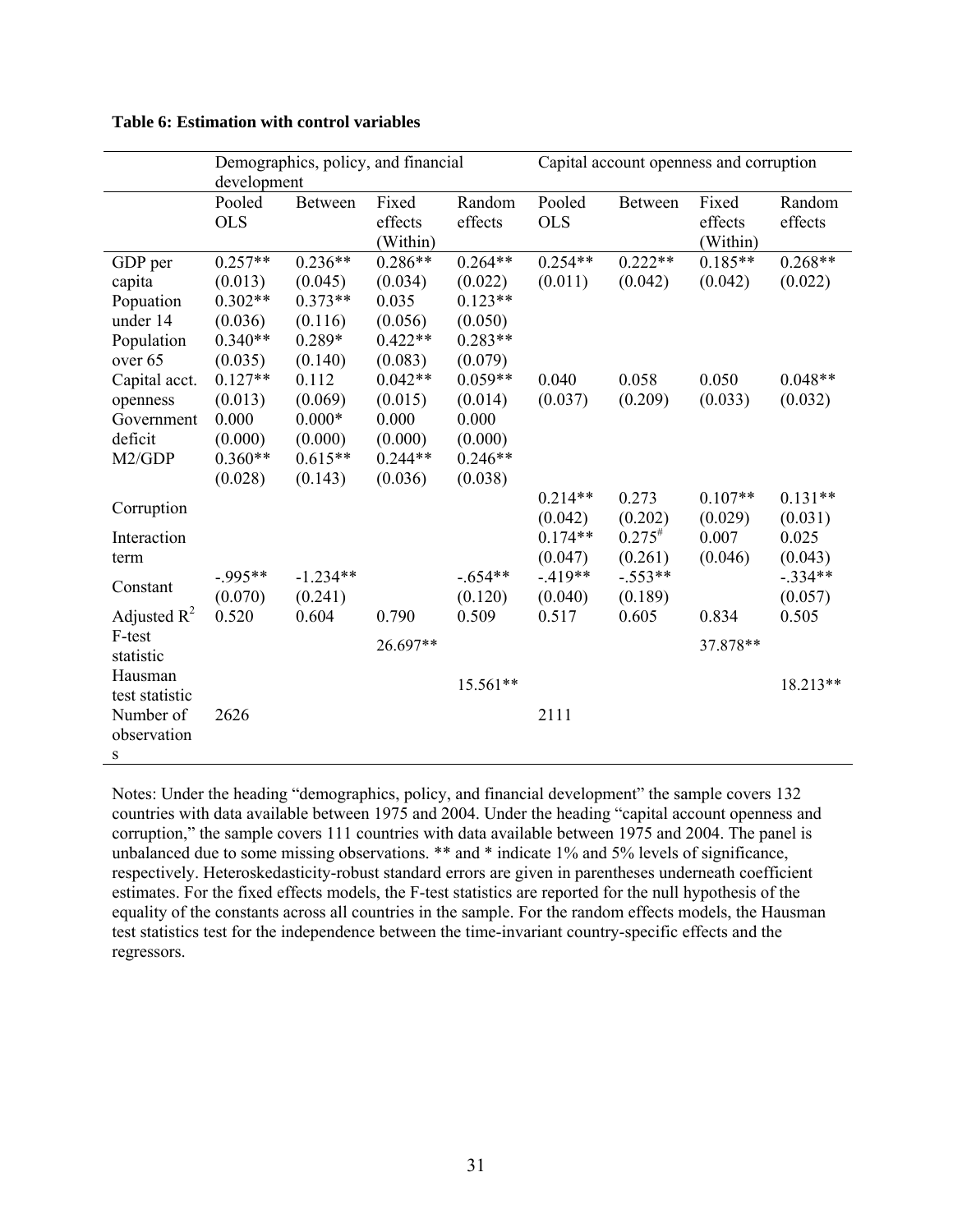|                                                                                   | development                                                                 | Demographics, policy, and financial                                        |                                                                             |                                                                             | Capital account openness and corruption                                      |                                                                             |                                                   |                                                                           |  |
|-----------------------------------------------------------------------------------|-----------------------------------------------------------------------------|----------------------------------------------------------------------------|-----------------------------------------------------------------------------|-----------------------------------------------------------------------------|------------------------------------------------------------------------------|-----------------------------------------------------------------------------|---------------------------------------------------|---------------------------------------------------------------------------|--|
|                                                                                   | Pooled<br><b>OLS</b>                                                        | <b>Between</b>                                                             | Fixed<br>effects<br>(Within)                                                | Random<br>effects                                                           | Pooled<br><b>OLS</b>                                                         | <b>Between</b>                                                              | Fixed<br>effects<br>(Within)                      | Random<br>effects                                                         |  |
| GDP per<br>capita<br>Popuation<br>under 14<br>Population                          | $0.257**$<br>(0.013)<br>$0.302**$<br>(0.036)<br>$0.340**$                   | $0.236**$<br>(0.045)<br>$0.373**$<br>(0.116)<br>0.289*                     | $0.286**$<br>(0.034)<br>0.035<br>(0.056)<br>$0.422**$                       | $0.264**$<br>(0.022)<br>$0.123**$<br>(0.050)<br>$0.283**$                   | $0.254**$<br>(0.011)                                                         | $0.222**$<br>(0.042)                                                        | $0.185**$<br>(0.042)                              | $0.268**$<br>(0.022)                                                      |  |
| over 65<br>Capital acct.<br>openness<br>Government<br>deficit<br>M2/GDP           | (0.035)<br>$0.127**$<br>(0.013)<br>0.000<br>(0.000)<br>$0.360**$<br>(0.028) | (0.140)<br>0.112<br>(0.069)<br>$0.000*$<br>(0.000)<br>$0.615**$<br>(0.143) | (0.083)<br>$0.042**$<br>(0.015)<br>0.000<br>(0.000)<br>$0.244**$<br>(0.036) | (0.079)<br>$0.059**$<br>(0.014)<br>0.000<br>(0.000)<br>$0.246**$<br>(0.038) | 0.040<br>(0.037)                                                             | 0.058<br>(0.209)                                                            | 0.050<br>(0.033)                                  | $0.048**$<br>(0.032)                                                      |  |
| Corruption<br>Interaction<br>term<br>Constant<br>Adjusted $R^2$                   | $-995**$<br>(0.070)<br>0.520                                                | $-1.234**$<br>(0.241)<br>0.604                                             | 0.790                                                                       | $-.654**$<br>(0.120)<br>0.509                                               | $0.214**$<br>(0.042)<br>$0.174**$<br>(0.047)<br>$-419**$<br>(0.040)<br>0.517 | 0.273<br>(0.202)<br>$0.275^{#}$<br>(0.261)<br>$-.553**$<br>(0.189)<br>0.605 | $0.107**$<br>(0.029)<br>0.007<br>(0.046)<br>0.834 | $0.131**$<br>(0.031)<br>0.025<br>(0.043)<br>$-.334**$<br>(0.057)<br>0.505 |  |
| F-test<br>statistic<br>Hausman<br>test statistic<br>Number of<br>observation<br>S | 2626                                                                        |                                                                            | 26.697**                                                                    | 15.561**                                                                    | 2111                                                                         |                                                                             | 37.878**                                          | 18.213**                                                                  |  |

#### **Table 6: Estimation with control variables**

Notes: Under the heading "demographics, policy, and financial development" the sample covers 132 countries with data available between 1975 and 2004. Under the heading "capital account openness and corruption," the sample covers 111 countries with data available between 1975 and 2004. The panel is unbalanced due to some missing observations. \*\* and \* indicate 1% and 5% levels of significance, respectively. Heteroskedasticity-robust standard errors are given in parentheses underneath coefficient estimates. For the fixed effects models, the F-test statistics are reported for the null hypothesis of the equality of the constants across all countries in the sample. For the random effects models, the Hausman test statistics test for the independence between the time-invariant country-specific effects and the regressors.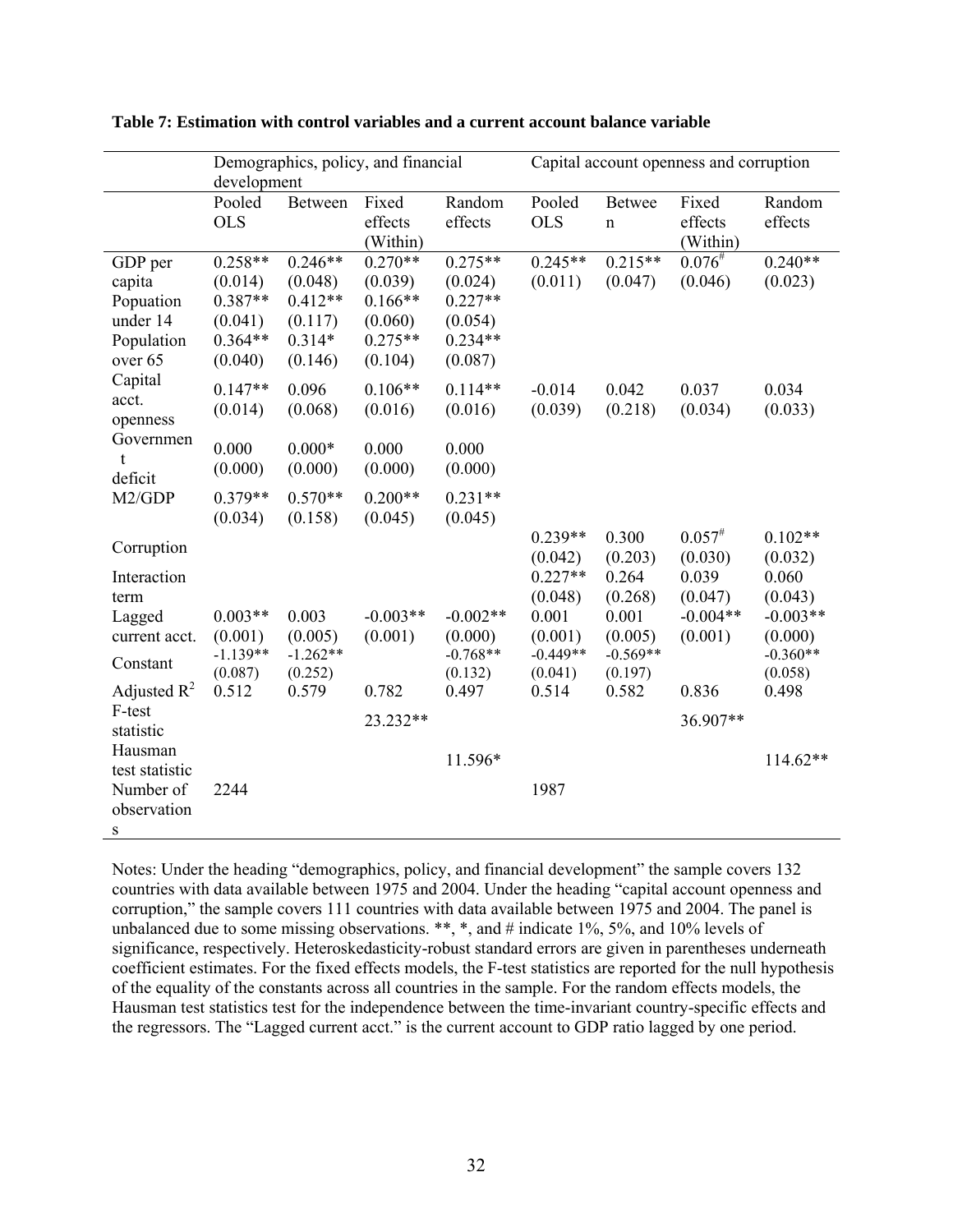|                                                                          | development                                                          |                                                                     | Demographics, policy, and financial                                  |                                                                      | Capital account openness and corruption                                                   |                                                                                   |                                                                     |                                                                                            |  |
|--------------------------------------------------------------------------|----------------------------------------------------------------------|---------------------------------------------------------------------|----------------------------------------------------------------------|----------------------------------------------------------------------|-------------------------------------------------------------------------------------------|-----------------------------------------------------------------------------------|---------------------------------------------------------------------|--------------------------------------------------------------------------------------------|--|
|                                                                          | Pooled<br><b>OLS</b>                                                 | <b>Between</b>                                                      | Fixed<br>effects<br>(Within)                                         | Random<br>effects                                                    | Pooled<br><b>OLS</b>                                                                      | <b>Betwee</b><br>$\mathbf n$                                                      | Fixed<br>effects<br>(Within)                                        | Random<br>effects                                                                          |  |
| GDP per<br>capita<br>Popuation<br>under 14<br>Population<br>over 65      | $0.258**$<br>(0.014)<br>$0.387**$<br>(0.041)<br>$0.364**$<br>(0.040) | $0.246**$<br>(0.048)<br>$0.412**$<br>(0.117)<br>$0.314*$<br>(0.146) | $0.270**$<br>(0.039)<br>$0.166**$<br>(0.060)<br>$0.275**$<br>(0.104) | $0.275**$<br>(0.024)<br>$0.227**$<br>(0.054)<br>$0.234**$<br>(0.087) | $0.245**$<br>(0.011)                                                                      | $0.215**$<br>(0.047)                                                              | $0.076^{#}$<br>(0.046)                                              | $0.240**$<br>(0.023)                                                                       |  |
| Capital<br>acct.<br>openness<br>Governmen<br>$\mathbf t$<br>deficit      | $0.147**$<br>(0.014)<br>0.000<br>(0.000)                             | 0.096<br>(0.068)<br>$0.000*$<br>(0.000)                             | $0.106**$<br>(0.016)<br>0.000<br>(0.000)                             | $0.114**$<br>(0.016)<br>0.000<br>(0.000)                             | $-0.014$<br>(0.039)                                                                       | 0.042<br>(0.218)                                                                  | 0.037<br>(0.034)                                                    | 0.034<br>(0.033)                                                                           |  |
| M2/GDP                                                                   | $0.379**$<br>(0.034)                                                 | $0.570**$<br>(0.158)                                                | $0.200**$<br>(0.045)                                                 | $0.231**$<br>(0.045)                                                 |                                                                                           |                                                                                   |                                                                     |                                                                                            |  |
| Corruption<br>Interaction<br>term<br>Lagged<br>current acct.<br>Constant | $0.003**$<br>(0.001)<br>$-1.139**$<br>(0.087)                        | 0.003<br>(0.005)<br>$-1.262**$<br>(0.252)                           | $-0.003**$<br>(0.001)                                                | $-0.002**$<br>(0.000)<br>$-0.768**$<br>(0.132)                       | $0.239**$<br>(0.042)<br>$0.227**$<br>(0.048)<br>0.001<br>(0.001)<br>$-0.449**$<br>(0.041) | 0.300<br>(0.203)<br>0.264<br>(0.268)<br>0.001<br>(0.005)<br>$-0.569**$<br>(0.197) | $0.057^{#}$<br>(0.030)<br>0.039<br>(0.047)<br>$-0.004**$<br>(0.001) | $0.102**$<br>(0.032)<br>0.060<br>(0.043)<br>$-0.003**$<br>(0.000)<br>$-0.360**$<br>(0.058) |  |
| Adjusted $R^2$<br>F-test<br>statistic<br>Hausman                         | 0.512                                                                | 0.579                                                               | 0.782<br>23.232**                                                    | 0.497<br>11.596*                                                     | 0.514                                                                                     | 0.582                                                                             | 0.836<br>36.907**                                                   | 0.498<br>114.62**                                                                          |  |
| test statistic<br>Number of<br>observation<br>S                          | 2244                                                                 |                                                                     |                                                                      |                                                                      | 1987                                                                                      |                                                                                   |                                                                     |                                                                                            |  |

**Table 7: Estimation with control variables and a current account balance variable** 

Notes: Under the heading "demographics, policy, and financial development" the sample covers 132 countries with data available between 1975 and 2004. Under the heading "capital account openness and corruption," the sample covers 111 countries with data available between 1975 and 2004. The panel is unbalanced due to some missing observations. \*\*, \*, and # indicate 1%, 5%, and 10% levels of significance, respectively. Heteroskedasticity-robust standard errors are given in parentheses underneath coefficient estimates. For the fixed effects models, the F-test statistics are reported for the null hypothesis of the equality of the constants across all countries in the sample. For the random effects models, the Hausman test statistics test for the independence between the time-invariant country-specific effects and the regressors. The "Lagged current acct." is the current account to GDP ratio lagged by one period.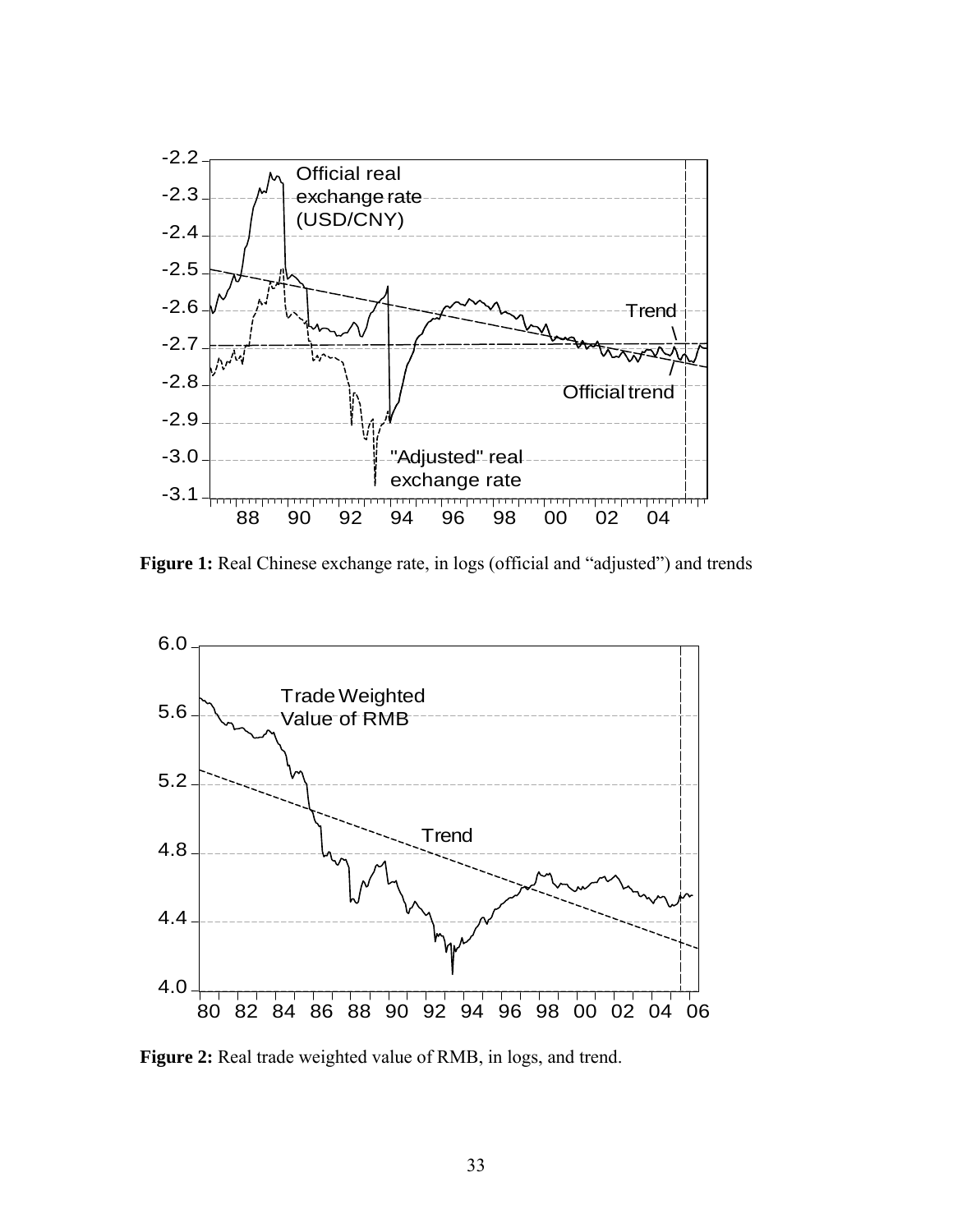

Figure 1: Real Chinese exchange rate, in logs (official and "adjusted") and trends



**Figure 2:** Real trade weighted value of RMB, in logs, and trend.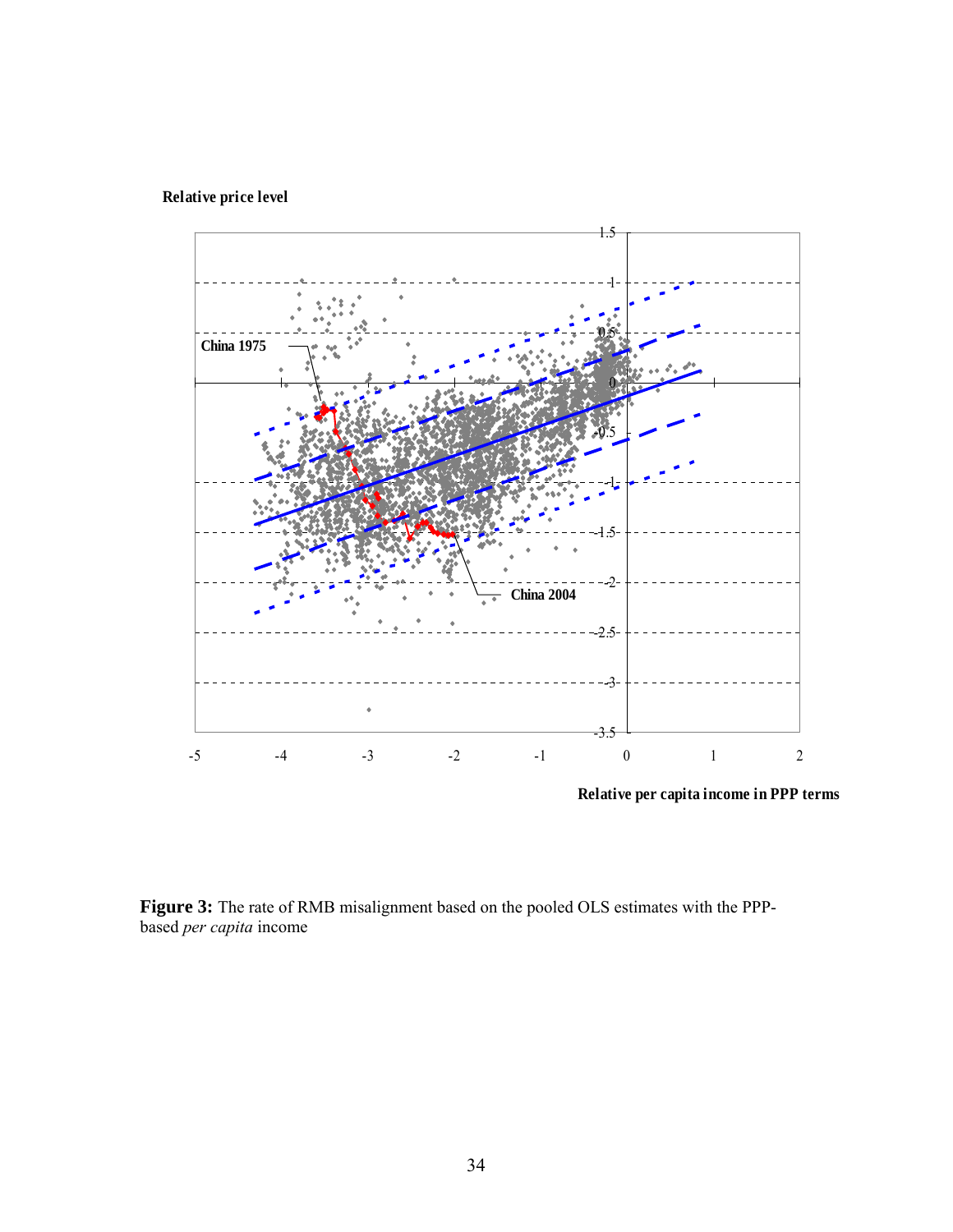# **Relative price level**



**Relative per capita income in PPP terms**

**Figure 3:** The rate of RMB misalignment based on the pooled OLS estimates with the PPPbased *per capita* income